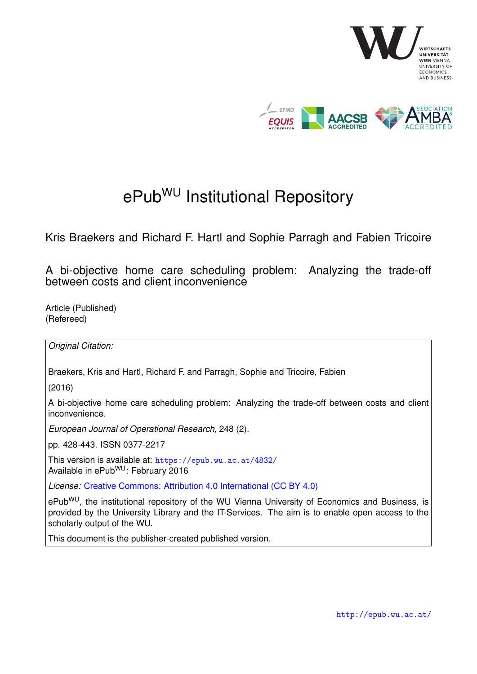

# ePub<sup>WU</sup> Institutional Repository

Kris Braekers and Richard F. Hartl and Sophie Parragh and Fabien Tricoire

A bi-objective home care scheduling problem: Analyzing the trade-off between costs and client inconvenience

Article (Published) (Refereed)

*Original Citation:*

Braekers, Kris and Hartl, Richard F. and Parragh, Sophie and Tricoire, Fabien

(2016)

A bi-objective home care scheduling problem: Analyzing the trade-off between costs and client inconvenience.

*European Journal of Operational Research*, 248 (2).

pp. 428-443. ISSN 0377-2217

This version is available at: <https://epub.wu.ac.at/4832/> Available in ePubWU: February 2016

*License:* [Creative Commons: Attribution 4.0 International \(CC BY 4.0\)](https://creativecommons.org/licenses/by/4.0/deed.en)

ePub<sup>WU</sup>, the institutional repository of the WU Vienna University of Economics and Business, is provided by the University Library and the IT-Services. The aim is to enable open access to the scholarly output of the WU.

This document is the publisher-created published version.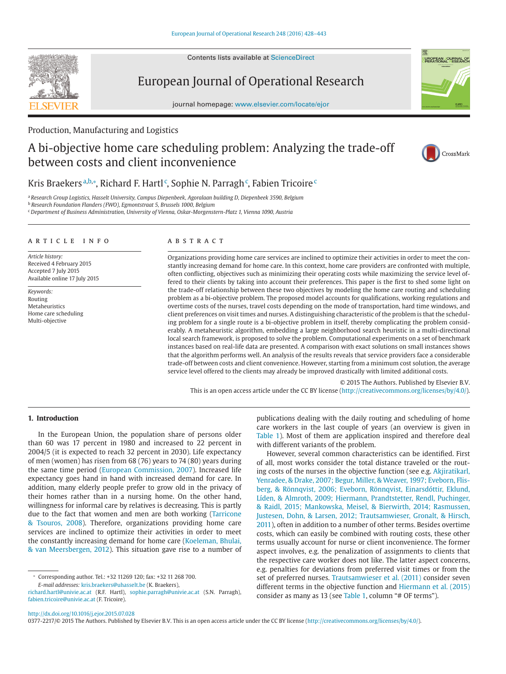Contents lists available at [ScienceDirect](http://www.ScienceDirect.com)



European Journal of Operational Research

journal homepage: [www.elsevier.com/locate/ejor](http://www.elsevier.com/locate/ejor)

# Production, Manufacturing and Logistics

# A bi-objective home care scheduling problem: Analyzing the trade-off between costs and client inconvenience



UROPEAN JOURNAL



# Kris Braekers<sup>a,b,</sup>\*, Richard F. Hartl<sup>c</sup>, Sophie N. Parragh<sup>c</sup>, Fabien Tricoire<sup>c</sup>

<sup>a</sup> *Research Group Logistics, Hasselt University, Campus Diepenbeek, Agoralaan building D, Diepenbeek 3590, Belgium*

<sup>b</sup> *Research Foundation Flanders (FWO), Egmontstraat 5, Brussels 1000, Belgium*

<sup>c</sup> *Department of Business Administration, University of Vienna, Oskar-Morgenstern-Platz 1, Vienna 1090, Austria*

#### article info

*Article history:* Received 4 February 2015 Accepted 7 July 2015 Available online 17 July 2015

*Keywords:* Routing **Metaheuristics** Home care scheduling Multi-objective

#### A B S T R A C T

Organizations providing home care services are inclined to optimize their activities in order to meet the constantly increasing demand for home care. In this context, home care providers are confronted with multiple, often conflicting, objectives such as minimizing their operating costs while maximizing the service level offered to their clients by taking into account their preferences. This paper is the first to shed some light on the trade-off relationship between these two objectives by modeling the home care routing and scheduling problem as a bi-objective problem. The proposed model accounts for qualifications, working regulations and overtime costs of the nurses, travel costs depending on the mode of transportation, hard time windows, and client preferences on visit times and nurses. A distinguishing characteristic of the problem is that the scheduling problem for a single route is a bi-objective problem in itself, thereby complicating the problem considerably. A metaheuristic algorithm, embedding a large neighborhood search heuristic in a multi-directional local search framework, is proposed to solve the problem. Computational experiments on a set of benchmark instances based on real-life data are presented. A comparison with exact solutions on small instances shows that the algorithm performs well. An analysis of the results reveals that service providers face a considerable trade-off between costs and client convenience. However, starting from a minimum cost solution, the average service level offered to the clients may already be improved drastically with limited additional costs.

© 2015 The Authors. Published by Elsevier B.V. This is an open access article under the CC BY license [\(http://creativecommons.org/licenses/by/4.0/\)](http://creativecommons.org/licenses/by/4.0/).

#### **1. Introduction**

In the European Union, the population share of persons older than 60 was 17 percent in 1980 and increased to 22 percent in 2004/5 (it is expected to reach 32 percent in 2030). Life expectancy of men (women) has risen from 68 (76) years to 74 (80) years during the same time period [\(European Commission, 2007\)](#page-16-0). Increased life expectancy goes hand in hand with increased demand for care. In addition, many elderly people prefer to grow old in the privacy of their homes rather than in a nursing home. On the other hand, willingness for informal care by relatives is decreasing. This is partly due to the fact that women and men are both working (Tarricone [& Tsouros, 2008\). Therefore, organizations providing home care](#page-16-0) services are inclined to optimize their activities in order to meet [the constantly increasing demand for home care \(Koeleman, Bhulai,](#page-16-0) & van Meersbergen, 2012). This situation gave rise to a number of

<sup>∗</sup> Corresponding author. Tel.: +32 11269 120; fax: +32 11 268 700.

*E-mail addresses:* [kris.braekers@uhasselt.be](mailto:kris.braekers@uhasselt.be) (K. Braekers),

richard.hartl@univie.ac.at (R.F. Hartl), [sophie.parragh@univie.ac.at](mailto:sophie.parragh@univie.ac.at) (S.N. Parragh), [fabien.tricoire@univie.ac.at](mailto:fabien.tricoire@univie.ac.at) (F. Tricoire).

publications dealing with the daily routing and scheduling of home care workers in the last couple of years (an overview is given in [Table 1\)](#page-2-0). Most of them are application inspired and therefore deal with different variants of the problem.

However, several common characteristics can be identified. First of all, most works consider the total distance traveled or the routing costs of the nurses in the objective function (see e.g. Akjiratikarl, Yenradee, & Drake, 2007; Begur, Miller, & Weaver, 1997; Eveborn, Flisberg, & Rönnqvist, 2006; Eveborn, Rönnqvist, Einarsdóttir, Eklund, [Líden, & Almroth, 2009; Hiermann, Prandtstetter, Rendl, Puchinger,](#page-16-0) & Raidl, 2015; Mankowska, Meisel, & Bierwirth, 2014; Rasmussen, Justesen, Dohn, & Larsen, 2012; Trautsamwieser, Gronalt, & Hirsch, 2011), often in addition to a number of other terms. Besides overtime costs, which can easily be combined with routing costs, these other terms usually account for nurse or client inconvenience. The former aspect involves, e.g. the penalization of assignments to clients that the respective care worker does not like. The latter aspect concerns, e.g. penalties for deviations from preferred visit times or from the set of preferred nurses. [Trautsamwieser et al. \(2011\)](#page-16-0) consider seven different terms in the objective function and [Hiermann et al. \(2015\)](#page-16-0) consider as many as 13 (see [Table 1,](#page-2-0) column "# OF terms").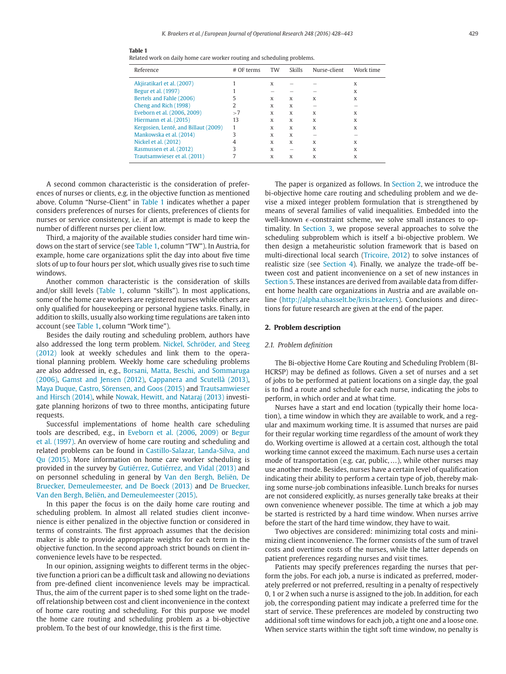| × |
|---|

<span id="page-2-0"></span>

|--|--|--|

Related work on daily home care worker routing and scheduling problems.

| Reference                            | $#$ OF terms | TW | <b>Skills</b> | Nurse-client | Work time |
|--------------------------------------|--------------|----|---------------|--------------|-----------|
| Akjiratikarl et al. (2007)           |              | X  |               |              | X         |
| Begur et al. (1997)                  |              |    |               |              | X         |
| Bertels and Fahle (2006)             |              | X  | x             | X            | X         |
| Cheng and Rich (1998)                |              | X  | X             |              |           |
| Eveborn et al. (2006, 2009)          | >7           | X  | X             | X            | X         |
| Hiermann et al. (2015)               | 13           | X  | X             | X            | X         |
| Kergosien, Lenté, and Billaut (2009) |              | X  | X             | X            | X         |
| Mankowska et al. (2014)              |              | X  | X             |              |           |
| Nickel et al. (2012)                 |              | X  | X             | X            | x         |
| Rasmussen et al. (2012)              |              | X  |               | X            | X         |
| Trautsamwieser et al. (2011)         |              | X  | X             | X            | X         |

A second common characteristic is the consideration of preferences of nurses or clients, e.g. in the objective function as mentioned above. Column "Nurse-Client" in Table 1 indicates whether a paper considers preferences of nurses for clients, preferences of clients for nurses or service consistency, i.e. if an attempt is made to keep the number of different nurses per client low.

Third, a majority of the available studies consider hard time windows on the start of service (see Table 1, column "TW"). In Austria, for example, home care organizations split the day into about five time slots of up to four hours per slot, which usually gives rise to such time windows.

Another common characteristic is the consideration of skills and/or skill levels (Table 1, column "skills"). In most applications, some of the home care workers are registered nurses while others are only qualified for housekeeping or personal hygiene tasks. Finally, in addition to skills, usually also working time regulations are taken into account (see Table 1, column "Work time").

Besides the daily routing and scheduling problem, authors have also addressed the long term problem. Nickel, Schröder, and Steeg (2012) [look at weekly schedules and link them to the opera](#page-16-0)tional planning problem. Weekly home care scheduling problems are also addressed in, e.g., [Borsani, Matta, Beschi, and Sommaruga](#page-16-0) (2006), [Gamst and Jensen \(2012\),](#page-16-0) [Cappanera and Scutellà \(2013\),](#page-16-0) [Maya Duque, Castro, Sörensen, and Goos \(2015\)](#page-16-0) and Trautsamwieser and Hirsch (2014), while [Nowak, Hewitt, and Nataraj \(2013\)](#page-16-0) investigate planning horizons of two to three months, anticipating future requests.

Successful implementations of home health care scheduling tools are described, e.g., in [Eveborn et al. \(2006,](#page-16-0) [2009\)](#page-16-0) or Begur [et al. \(1997\). An overview of home care routing and scheduling and](#page-16-0) related problems can be found in Castillo-Salazar, Landa-Silva, and [Qu \(2015\). More information on home care worker scheduling is](#page-16-0) provided in the survey by [Gutiérrez, Gutiérrez, and Vidal \(2013\)](#page-16-0) and on personnel scheduling in general by Van den Bergh, Beliën, De [Bruecker, Demeulemeester, and De Boeck \(2013\)](#page-16-0) and De Bruecker, [Van den Bergh, Beliën, and Demeulemeester \(2015\).](#page-16-0)

In this paper the focus is on the daily home care routing and scheduling problem. In almost all related studies client inconvenience is either penalized in the objective function or considered in terms of constraints. The first approach assumes that the decision maker is able to provide appropriate weights for each term in the objective function. In the second approach strict bounds on client inconvenience levels have to be respected.

In our opinion, assigning weights to different terms in the objective function a priori can be a difficult task and allowing no deviations from pre-defined client inconvenience levels may be impractical. Thus, the aim of the current paper is to shed some light on the tradeoff relationship between cost and client inconvenience in the context of home care routing and scheduling. For this purpose we model the home care routing and scheduling problem as a bi-objective problem. To the best of our knowledge, this is the first time.

The paper is organized as follows. In Section 2, we introduce the bi-objective home care routing and scheduling problem and we devise a mixed integer problem formulation that is strengthened by means of several families of valid inequalities. Embedded into the well-known  $\epsilon$ -constraint scheme, we solve small instances to optimality. In [Section 3,](#page-5-0) we propose several approaches to solve the scheduling subproblem which is itself a bi-objective problem. We then design a metaheuristic solution framework that is based on multi-directional local search [\(Tricoire, 2012\)](#page-16-0) to solve instances of realistic size (see [Section 4\)](#page-7-0). Finally, we analyze the trade-off between cost and patient inconvenience on a set of new instances in [Section 5.](#page-9-0) These instances are derived from available data from different home health care organizations in Austria and are available online [\(http://alpha.uhasselt.be/kris.braekers\)](http://alpha.uhasselt.be/kris.braekers). Conclusions and directions for future research are given at the end of the paper.

#### **2. Problem description**

# *2.1. Problem definition*

The Bi-objective Home Care Routing and Scheduling Problem (BI-HCRSP) may be defined as follows. Given a set of nurses and a set of jobs to be performed at patient locations on a single day, the goal is to find a route and schedule for each nurse, indicating the jobs to perform, in which order and at what time.

Nurses have a start and end location (typically their home location), a time window in which they are available to work, and a regular and maximum working time. It is assumed that nurses are paid for their regular working time regardless of the amount of work they do. Working overtime is allowed at a certain cost, although the total working time cannot exceed the maximum. Each nurse uses a certain mode of transportation (e.g. car, public,…), while other nurses may use another mode. Besides, nurses have a certain level of qualification indicating their ability to perform a certain type of job, thereby making some nurse-job combinations infeasible. Lunch breaks for nurses are not considered explicitly, as nurses generally take breaks at their own convenience whenever possible. The time at which a job may be started is restricted by a hard time window. When nurses arrive before the start of the hard time window, they have to wait.

Two objectives are considered: minimizing total costs and minimizing client inconvenience. The former consists of the sum of travel costs and overtime costs of the nurses, while the latter depends on patient preferences regarding nurses and visit times.

Patients may specify preferences regarding the nurses that perform the jobs. For each job, a nurse is indicated as preferred, moderately preferred or not preferred, resulting in a penalty of respectively 0, 1 or 2 when such a nurse is assigned to the job. In addition, for each job, the corresponding patient may indicate a preferred time for the start of service. These preferences are modeled by constructing two additional soft time windows for each job, a tight one and a loose one. When service starts within the tight soft time window, no penalty is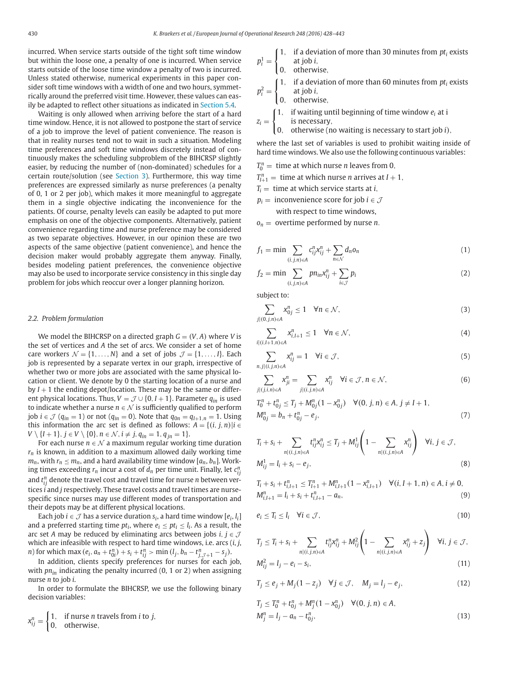$z_i =$ 

<span id="page-3-0"></span>incurred. When service starts outside of the tight soft time window but within the loose one, a penalty of one is incurred. When service starts outside of the loose time window a penalty of two is incurred. Unless stated otherwise, numerical experiments in this paper consider soft time windows with a width of one and two hours, symmetrically around the preferred visit time. However, these values can easily be adapted to reflect other situations as indicated in [Section 5.4.](#page-11-0)

Waiting is only allowed when arriving before the start of a hard time window. Hence, it is not allowed to postpone the start of service of a job to improve the level of patient convenience. The reason is that in reality nurses tend not to wait in such a situation. Modeling time preferences and soft time windows discretely instead of continuously makes the scheduling subproblem of the BIHCRSP slightly easier, by reducing the number of (non-dominated) schedules for a certain route/solution (see [Section 3\)](#page-5-0). Furthermore, this way time preferences are expressed similarly as nurse preferences (a penalty of 0, 1 or 2 per job), which makes it more meaningful to aggregate them in a single objective indicating the inconvenience for the patients. Of course, penalty levels can easily be adapted to put more emphasis on one of the objective components. Alternatively, patient convenience regarding time and nurse preference may be considered as two separate objectives. However, in our opinion these are two aspects of the same objective (patient convenience), and hence the decision maker would probably aggregate them anyway. Finally, besides modeling patient preferences, the convenience objective may also be used to incorporate service consistency in this single day problem for jobs which reoccur over a longer planning horizon.

# *2.2. Problem formulation*

We model the BIHCRSP on a directed graph  $G = (V, A)$  where *V* is the set of vertices and *A* the set of arcs. We consider a set of home care workers  $\mathcal{N} = \{1, ..., N\}$  and a set of jobs  $\mathcal{J} = \{1, ..., I\}$ . Each job is represented by a separate vertex in our graph, irrespective of whether two or more jobs are associated with the same physical location or client. We denote by 0 the starting location of a nurse and by  $I + 1$  the ending depot/location. These may be the same or different physical locations. Thus,  $V = \mathcal{J} \cup \{0, I + 1\}$ . Parameter  $q_{in}$  is used to indicate whether a nurse  $n \in \mathcal{N}$  is sufficiently qualified to perform job *i* ∈  $\mathcal{J}$  ( $q_{in}$  = 1) or not ( $q_{in}$  = 0). Note that  $q_{0n}$  =  $q_{l+1,n}$  = 1. Using this information the arc set is defined as follows:  $A = \{(i, j, n) | i \in$ *V*  $\setminus$  {*I* + 1}, *j* ∈ *V*  $\setminus$  {0}, *n* ∈ *N*, *i* ≠ *j*, *q<sub>in</sub>* = 1, *q<sub>jn</sub>* = 1}.

For each nurse  $n \in \mathcal{N}$  a maximum regular working time duration  $r_n$  is known, in addition to a maximum allowed daily working time *m<sub>n</sub>*, with  $r_n \leq m_n$ , and a hard availability time window [ $a_n$ ,  $b_n$ ]. Working times exceeding  $r_n$  incur a cost of  $d_n$  per time unit. Finally, let  $c_{ij}^n$ and *t<sup>n</sup> ij* denote the travel cost and travel time for nurse *n* between vertices *i* and *j* respectively. These travel costs and travel times are nursespecific since nurses may use different modes of transportation and their depots may be at different physical locations.

Each job  $i \in \mathcal{J}$  has a service duration  $s_i$ , a hard time window  $[e_i, l_i]$ and a preferred starting time  $pt_i$ , where  $e_i \leq pt_i \leq l_i$ . As a result, the arc set *A* may be reduced by eliminating arcs between jobs  $i, j \in \mathcal{J}$ which are infeasible with respect to hard time windows, i.e. arcs (*i*, *j*, *n*) for which max  $(e_i, a_n + t_{0i}^n) + s_i + t_{ij}^n > \min (l_j, b_n - t_{j,\mathcal{J}+1}^n - s_j).$ 

In addition, clients specify preferences for nurses for each job, with  $pn_{in}$  indicating the penalty incurred  $(0, 1 \text{ or } 2)$  when assigning nurse *n* to job *i*.

In order to formulate the BIHCRSP, we use the following binary decision variables:

$$
x_{ij}^n = \begin{cases} 1, & \text{if nurse } n \text{ travels from } i \text{ to } j, \\ 0, & \text{otherwise,} \end{cases}
$$

$$
p_i^1 = \begin{cases} 1, & \text{if a deviation of more than 30 minutes from } pt_i \text{ exists} \\ & \text{at job } i, \end{cases}
$$

$$
[0, \quad \text{otherwise},
$$

 $p_i^2 =$  $\int$  1, if a deviation of more than 60 minutes from  $pt_i$  exists at job *i*,

$$
[0, \quad \text{otherwise},
$$

- 1, if waiting until beginning of time window *ei* at i
- is necessary,

0, otherwise (no waiting is necessary to start job *i*),

where the last set of variables is used to prohibit waiting inside of hard time windows. We also use the following continuous variables:

- $T_0^n =$  time at which nurse *n* leaves from 0,
- $T_{I+1}^n =$  time at which nurse *n* arrives at  $I + 1$ ,
- $T_i$  = time at which service starts at *i*,
- $p_i$  = inconvenience score for job  $i \in \mathcal{J}$ with respect to time windows,

 $o_n$  = overtime performed by nurse *n*.

$$
f_1 = \min \sum_{(i,j,n)\in A} c_{ij}^n x_{ij}^n + \sum_{n\in\mathcal{N}} d_n o_n \tag{1}
$$

$$
f_2 = \min \sum_{(i,j,n)\in A} pn_{in}x_{ij}^n + \sum_{i\in \mathcal{J}} p_i
$$
 (2)

subject to:

$$
\sum_{j|(0,j,n)\in A} x_{0j}^n \le 1 \quad \forall n \in \mathcal{N},\tag{3}
$$

$$
\sum_{i|(i,l+1,n)\in A} x_{i,l+1}^n \le 1 \quad \forall n \in \mathcal{N},\tag{4}
$$

$$
\sum_{\substack{i \mid (i \ i \ n) \in A}} x_{ij}^n = 1 \quad \forall i \in \mathcal{J}, \tag{5}
$$

*n*,*j*|(*i*,*j*,*n*)∈*A*

$$
\sum_{j|(j,i,n)\in A} x_{ji}^n = \sum_{j|(i,j,n)\in A} x_{ij}^n \quad \forall i \in \mathcal{J}, n \in \mathcal{N},
$$
\n(6)

$$
T_0^n + t_{0j}^n \le T_j + M_{0j}^n (1 - x_{0j}^n) \quad \forall (0, j, n) \in A, j \ne I + 1,
$$
  

$$
M_{0j}^n = b_n + t_{0j}^n - e_j,
$$
 (7)

$$
T_{i} + s_{i} + \sum_{n|(i,j,n)\in A} t_{ij}^{n} x_{ij}^{n} \leq T_{j} + M_{ij}^{1} \left( 1 - \sum_{n|(i,j,n)\in A} x_{ij}^{n} \right) \quad \forall i, j \in \mathcal{J},
$$
  

$$
M_{ij}^{1} = I_{i} + s_{i} - e_{j},
$$
 (8)

$$
T_i + s_i + t_{i,l+1}^n \le T_{l+1}^n + M_{i,l+1}^n (1 - x_{i,l+1}^n) \quad \forall (i, l+1, n) \in A, i \ne 0,
$$
  

$$
M_{i,l+1}^n = l_i + s_i + t_{i,l+1}^n - a_n,
$$
 (9)

$$
e_i \leq T_i \leq l_i \quad \forall i \in \mathcal{J},\tag{10}
$$

$$
T_j \leq T_i + s_i + \sum_{n|(i,j,n)\in A} t_{ij}^n x_{ij}^n + M_{ij}^2 \left( 1 - \sum_{n|(i,j,n)\in A} x_{ij}^n + z_j \right) \quad \forall i, j \in \mathcal{J},
$$
  

$$
M_{ij}^2 = I_j - e_i - s_i,
$$
 (11)

$$
T_j \le e_j + M_j(1 - z_j) \quad \forall j \in \mathcal{J}, \quad M_j = l_j - e_j,
$$
\n(12)

$$
T_j \le T_0^n + t_{0j}^n + M_j^n (1 - x_{0j}^n) \quad \forall (0, j, n) \in A,
$$
  

$$
M_j^n = l_j - a_n - t_{0j}^n,
$$
 (13)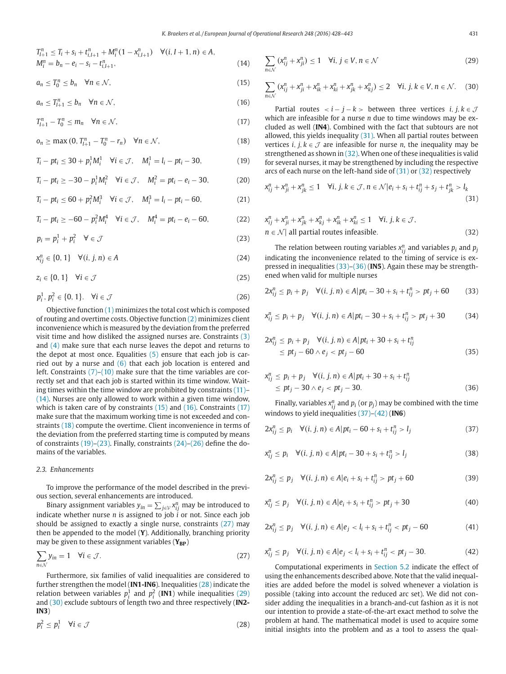<span id="page-4-0"></span>
$$
T_{l+1}^{n} \leq T_i + s_i + t_{i,l+1}^{n} + M_i^{n} (1 - x_{i,l+1}^{n}) \quad \forall (i, l+1, n) \in A,
$$
  

$$
M_i^{n} = b_n - e_i - s_i - t_{i,l+1}^{n},
$$
 (14)

 $a_n \leq T_0^n \leq b_n \quad \forall n \in \mathcal{N},$  (15)

 $a_n \leq T_{l+1}^n \leq b_n \quad \forall n \in \mathcal{N},$  (16)

 $T_{l+1}^n - T_0^n \le m_n \quad \forall n \in \mathcal{N},$  (17)

 $o_n \ge \max(0, T_{l+1}^n - T_0^n - r_n) \quad \forall n \in \mathcal{N},$  (18)

 $T_i - pt_i \le 30 + p_i^1 M_i^1 \quad \forall i \in \mathcal{J}, \quad M_i^1 = l_i - pt_i - 30,$  (19)

$$
T_i - pt_i \ge -30 - p_i^1 M_i^2 \quad \forall i \in \mathcal{J}, \quad M_i^2 = pt_i - e_i - 30,
$$
 (20)

$$
T_i - pt_i \le 60 + p_i^2 M_i^3 \quad \forall i \in \mathcal{J}, \quad M_i^3 = l_i - pt_i - 60,
$$
 (21)

$$
T_i - pt_i \ge -60 - p_i^2 M_i^4 \quad \forall i \in \mathcal{J}, \quad M_i^4 = pt_i - e_i - 60, \tag{22}
$$

$$
p_i = p_i^1 + p_i^2 \quad \forall \in \mathcal{J}
$$
\n<sup>(23)</sup>

$$
x_{ij}^n \in \{0, 1\} \quad \forall (i, j, n) \in A \tag{24}
$$

$$
z_i \in \{0, 1\} \quad \forall i \in \mathcal{J} \tag{25}
$$

$$
p_i^1, p_i^2 \in \{0, 1\}. \quad \forall i \in \mathcal{J}
$$
 (26)

Objective function [\(1\)](#page-3-0) minimizes the total cost which is composed of routing and overtime costs. Objective function [\(2\)](#page-3-0) minimizes client inconvenience which is measured by the deviation from the preferred visit time and how disliked the assigned nurses are. Constraints [\(3\)](#page-3-0) and [\(4\)](#page-3-0) make sure that each nurse leaves the depot and returns to the depot at most once. Equalities [\(5\)](#page-3-0) ensure that each job is carried out by a nurse and [\(6\)](#page-3-0) that each job location is entered and left. Constraints [\(7\)–\(10\)](#page-3-0) make sure that the time variables are correctly set and that each job is started within its time window. Waiting times within the time window are prohibited by constraints [\(11\)–](#page-3-0) (14). Nurses are only allowed to work within a given time window, which is taken care of by constraints (15) and (16). Constraints (17) make sure that the maximum working time is not exceeded and constraints (18) compute the overtime. Client inconvenience in terms of the deviation from the preferred starting time is computed by means of constraints  $(19)-(23)$ . Finally, constraints  $(24)-(26)$  define the domains of the variables.

# *2.3. Enhancements*

To improve the performance of the model described in the previous section, several enhancements are introduced.

Binary assignment variables  $y_{in} = \sum_{j \in \mathcal{V}} x_{ij}^n$  may be introduced to indicate whether nurse *n* is assigned to job *i* or not. Since each job should be assigned to exactly a single nurse, constraints (27) may then be appended to the model (**Y**). Additionally, branching priority may be given to these assignment variables  $(Y_{\text{RP}})$ 

$$
\sum_{n \in \mathcal{N}} y_{in} = 1 \quad \forall i \in \mathcal{J}.
$$
 (27)

Furthermore, six families of valid inequalities are considered to further strengthen the model (**IN1-IN6**). Inequalities (28) indicate the relation between variables  $p_i^1$  and  $p_i^2$  (**IN1**) while inequalities (29) and (30) exclude subtours of length two and three respectively (**IN2- IN3**)

$$
p_i^2 \le p_i^1 \quad \forall i \in \mathcal{J} \tag{28}
$$

$$
\sum_{n \in \mathcal{N}} (x_{ij}^n + x_{ji}^n) \le 1 \quad \forall i, j \in V, n \in \mathcal{N}
$$
\n(29)

$$
\sum_{n \in \mathcal{N}} (x_{ij}^n + x_{ji}^n + x_{ik}^n + x_{ki}^n + x_{jk}^n + x_{kj}^n) \le 2 \quad \forall i, j, k \in V, n \in \mathcal{N}. \tag{30}
$$

Partial routes  $\langle i - j - k \rangle$  between three vertices *i*, *j*,  $k \in \mathcal{J}$ which are infeasible for a nurse *n* due to time windows may be excluded as well (**IN4**). Combined with the fact that subtours are not allowed, this yields inequality (31). When all partial routes between vertices *i*, *j*,  $k \in \mathcal{J}$  are infeasible for nurse *n*, the inequality may be strengthened as shown in (32). When one of these inequalities is valid for several nurses, it may be strengthened by including the respective arcs of each nurse on the left-hand side of (31) or (32) respectively

$$
x_{ij}^n + x_{ji}^n + x_{jk}^n \le 1 \quad \forall i, j, k \in \mathcal{J}, n \in \mathcal{N} | e_i + s_i + t_{ij}^n + s_j + t_{jk}^n > l_k \tag{31}
$$

$$
x_{ij}^n + x_{ji}^n + x_{jk}^n + x_{kj}^n + x_{ik}^n + x_{ki}^n \le 1 \quad \forall i, j, k \in \mathcal{J},
$$
  
\n
$$
n \in \mathcal{N} \mid \text{all partial routes infeasible.}
$$
\n(32)

The relation between routing variables  $x_{ij}^n$  and variables  $p_i$  and  $p_j$ indicating the inconvenience related to the timing of service is expressed in inequalities (33)–(36) (**IN5**). Again these may be strengthened when valid for multiple nurses

$$
2x_{ij}^n \le p_i + p_j \quad \forall (i, j, n) \in A | pt_i - 30 + s_i + t_{ij}^n > pt_j + 60 \tag{33}
$$

$$
x_{ij}^n \le p_i + p_j \quad \forall (i, j, n) \in A | pt_i - 30 + s_i + t_{ij}^n > pt_j + 30 \tag{34}
$$

$$
2x_{ij}^n \le p_i + p_j \quad \forall (i, j, n) \in A | pt_i + 30 + s_i + t_{ij}^n
$$
  
\n
$$
\le pt_j - 60 \wedge e_j < pt_j - 60
$$
\n(35)

$$
x_{ij}^n \le p_i + p_j \quad \forall (i, j, n) \in A | pt_i + 30 + s_i + t_{ij}^n
$$
  
\n
$$
\le pt_j - 30 \wedge e_j < pt_j - 30. \tag{36}
$$

Finally, variables  $x_{ij}^n$  and  $p_i$  (or  $p_j$ ) may be combined with the time windows to yield inequalities (37)–(42) (**IN6**)

$$
2x_{ij}^{n} \le p_i \quad \forall (i, j, n) \in A | pt_i - 60 + s_i + t_{ij}^{n} > l_j
$$
\n(37)

$$
x_{ij}^n \le p_i \quad \forall (i, j, n) \in A | pt_i - 30 + s_i + t_{ij}^n > l_j
$$
\n(38)

$$
2x_{ij}^{n} \le p_j \quad \forall (i, j, n) \in A | e_i + s_i + t_{ij}^{n} > pt_j + 60 \tag{39}
$$

$$
x_{ij}^n \le p_j \quad \forall (i, j, n) \in A | e_i + s_i + t_{ij}^n > pt_j + 30 \tag{40}
$$

$$
2x_{ij}^n \le p_j \quad \forall (i, j, n) \in A | e_j < l_i + s_i + t_{ij}^n < pt_j - 60 \tag{41}
$$

$$
x_{ij}^n \le p_j \quad \forall (i, j, n) \in A | e_j < l_i + s_i + t_{ij}^n < pt_j - 30. \tag{42}
$$

Computational experiments in [Section 5.2](#page-10-0) indicate the effect of using the enhancements described above. Note that the valid inequalities are added before the model is solved whenever a violation is possible (taking into account the reduced arc set). We did not consider adding the inequalities in a branch-and-cut fashion as it is not our intention to provide a state-of-the-art exact method to solve the problem at hand. The mathematical model is used to acquire some initial insights into the problem and as a tool to assess the qual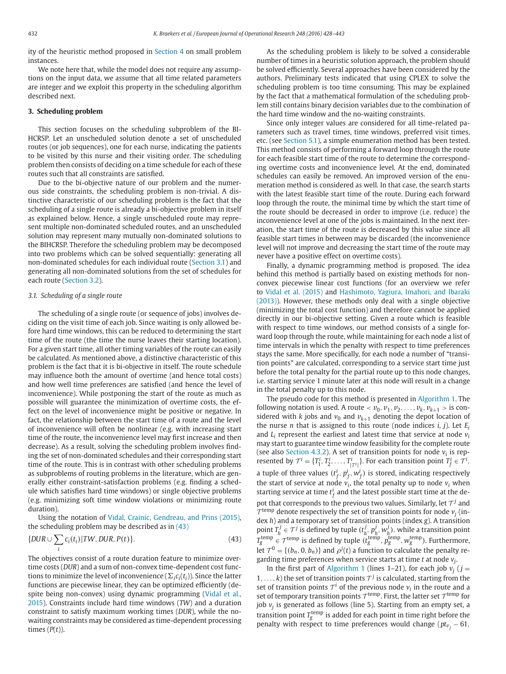<span id="page-5-0"></span>ity of the heuristic method proposed in [Section 4](#page-7-0) on small problem instances.

We note here that, while the model does not require any assumptions on the input data, we assume that all time related parameters are integer and we exploit this property in the scheduling algorithm described next.

#### **3. Scheduling problem**

This section focuses on the scheduling subproblem of the BI-HCRSP. Let an unscheduled solution denote a set of unscheduled routes (or job sequences), one for each nurse, indicating the patients to be visited by this nurse and their visiting order. The scheduling problem then consists of deciding on a time schedule for each of these routes such that all constraints are satisfied.

Due to the bi-objective nature of our problem and the numerous side constraints, the scheduling problem is non-trivial. A distinctive characteristic of our scheduling problem is the fact that the scheduling of a single route is already a bi-objective problem in itself as explained below. Hence, a single unscheduled route may represent multiple non-dominated scheduled routes, and an unscheduled solution may represent many mutually non-dominated solutions to the BIHCRSP. Therefore the scheduling problem may be decomposed into two problems which can be solved sequentially: generating all non-dominated schedules for each individual route (Section 3.1) and generating all non-dominated solutions from the set of schedules for each route [\(Section 3.2\)](#page-6-0).

## *3.1. Scheduling of a single route*

The scheduling of a single route (or sequence of jobs) involves deciding on the visit time of each job. Since waiting is only allowed before hard time windows, this can be reduced to determining the start time of the route (the time the nurse leaves their starting location). For a given start time, all other timing variables of the route can easily be calculated. As mentioned above, a distinctive characteristic of this problem is the fact that it is bi-objective in itself. The route schedule may influence both the amount of overtime (and hence total costs) and how well time preferences are satisfied (and hence the level of inconvenience). While postponing the start of the route as much as possible will guarantee the minimization of overtime costs, the effect on the level of inconvenience might be positive or negative. In fact, the relationship between the start time of a route and the level of inconvenience will often be nonlinear (e.g. with increasing start time of the route, the inconvenience level may first increase and then decrease). As a result, solving the scheduling problem involves finding the set of non-dominated schedules and their corresponding start time of the route. This is in contrast with other scheduling problems as subproblems of routing problems in the literature, which are generally either constraint-satisfaction problems (e.g. finding a schedule which satisfies hard time windows) or single objective problems (e.g. minimizing soft time window violations or minimizing route duration).

Using the notation of [Vidal, Crainic, Gendreau, and Prins \(2015\),](#page-16-0) the scheduling problem may be described as in (43)

$$
\{DUR \cup \sum_{i} c_i(t_i) | TW, DUR, P(t)\}.
$$
\n(43)

The objectives consist of a route duration feature to minimize overtime costs (*DUR*) and a sum of non-convex time-dependent cost functions to minimize the level of inconvenience ( $\Sigma_i c_i(t_i)$ ). Since the latter functions are piecewise linear, they can be optimized efficiently (de[spite being non-convex\) using dynamic programming \(Vidal et al.,](#page-16-0) 2015). Constraints include hard time windows (*TW*) and a duration constraint to satisfy maximum working times (*DUR*), while the nowaiting constraints may be considered as time-dependent processing times (*P*(*t*)).

As the scheduling problem is likely to be solved a considerable number of times in a heuristic solution approach, the problem should be solved efficiently. Several approaches have been considered by the authors. Preliminary tests indicated that using CPLEX to solve the scheduling problem is too time consuming. This may be explained by the fact that a mathematical formulation of the scheduling problem still contains binary decision variables due to the combination of the hard time window and the no-waiting constraints.

Since only integer values are considered for all time-related parameters such as travel times, time windows, preferred visit times, etc. (see [Section 5.1\)](#page-9-0), a simple enumeration method has been tested. This method consists of performing a forward loop through the route for each feasible start time of the route to determine the corresponding overtime costs and inconvenience level. At the end, dominated schedules can easily be removed. An improved version of the enumeration method is considered as well. In that case, the search starts with the latest feasible start time of the route. During each forward loop through the route, the minimal time by which the start time of the route should be decreased in order to improve (i.e. reduce) the inconvenience level at one of the jobs is maintained. In the next iteration, the start time of the route is decreased by this value since all feasible start times in between may be discarded (the inconvenience level will not improve and decreasing the start time of the route may never have a positive effect on overtime costs).

Finally, a dynamic programming method is proposed. The idea behind this method is partially based on existing methods for nonconvex piecewise linear cost functions (for an overview we refer to [Vidal et al. \(2015\)](#page-16-0) and Hashimoto, Yagiura, Imahori, and Ibaraki [\(2013\)\). However, these methods only deal with a single objective](#page-16-0) (minimizing the total cost function) and therefore cannot be applied directly in our bi-objective setting. Given a route which is feasible with respect to time windows, our method consists of a single forward loop through the route, while maintaining for each node a list of time intervals in which the penalty with respect to time preferences stays the same. More specifically, for each node a number of "transition points" are calculated, corresponding to a service start time just before the total penalty for the partial route up to this node changes, i.e. starting service 1 minute later at this node will result in a change in the total penalty up to this node.

The pseudo code for this method is presented in [Algorithm 1.](#page-6-0) The following notation is used. A route  $< v_0, v_1, v_2, \ldots, v_k, v_{k+1} >$  is considered with *k* jobs and  $v_0$  and  $v_{k+1}$  denoting the depot location of the nurse *n* that is assigned to this route (node indices *i*, *j*). Let *Ei* and *Li* represent the earliest and latest time that service at node *vi* may start to guarantee time window feasibility for the complete route (see also [Section 4.3.2\)](#page-8-0). A set of transition points for node  $v_i$  is represented by  $\mathcal{T}^i = \{T^i_1, T^i_2, \dots, T^i_{|\mathcal{T}^i|}\}$ . For each transition point  $T^i_f \in \mathcal{T}^i$ , a tuple of three values  $(t_f^i, p_f^i, w_f^i)$  is stored, indicating respectively the start of service at node  $v_i$ , the total penalty up to node  $v_i$  when starting service at time  $t_f^i$  and the latest possible start time at the depot that corresponds to the previous two values. Similarly, let  $\mathcal{T}^j$  and  $\mathcal{T}^{temp}$  denote respectively the set of transition points for node  $v_i$  (index *h*) and a temporary set of transition points (index *g*). A transition point  $T_h^j \in \mathcal{T}^j$  is defined by tuple  $(t_h^j, p_h^j, w_h^j)$ , while a transition point  $T_g^{\text{temp}} \in \mathcal{T}^{\text{temp}}$  is defined by tuple  $(t_g^{\text{temp}}, p_g^{\text{temp}}, w_g^{\text{temp}})$ . Furthermore, let  $\mathcal{T}^0 = \{(b_n, 0, b_n)\}\$  and  $\rho^j(t)$  a function to calculate the penalty regarding time preferences when service starts at time *t* at node *vj*.

In the first part of [Algorithm 1](#page-6-0) (lines 1–21), for each job  $v_i$  ( $j =$ 1, ..., *k*) the set of transition points  $\mathcal{T}^j$  is calculated, starting from the set of transition points  $\mathcal{T}^i$  of the previous node  $v_i$  in the route and a set of temporary transition points  $\mathcal{T}^{temp}$ . First, the latter set  $\mathcal{T}^{temp}$  for job  $v_i$  is generated as follows (line 5). Starting from an empty set, a transition point  $T_{\rm g}^{\rm temp}$  is added for each point in time right before the penalty with respect to time preferences would change ( $pt_{v_i}$  − 61,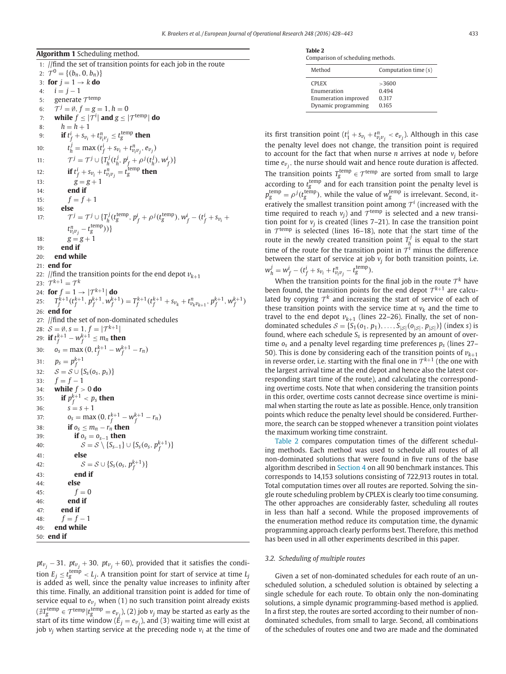#### <span id="page-6-0"></span>**Algorithm 1** Scheduling method.

1: //find the set of transition points for each job in the route 2:  $\mathcal{T}^0 = \{(b_n, 0, b_n)\}$ 3: **for**  $j = 1 \rightarrow k$  **do** 4:  $i = j - 1$ 5: generate  $\mathcal{T}^{\text{temp}}$ <br>6:  $\mathcal{T}^j = \emptyset$ ,  $f = g =$ 6:  $\mathcal{T}^j = \emptyset$ ,  $f = g = 1$ ,  $h = 0$ <br>7: **while**  $f < |\mathcal{T}^j|$  and  $g <$ 7: **while**  $f \leq |\mathcal{T}^i|$  and  $g \leq |\mathcal{T}^{\text{temp}}|$  do 8:  $h = h + 1$ 9: **if**  $t_f^i + s_{\nu_i} + t_{\nu_i\nu_j}^n \leq t_g^\text{temp}$  then 10:  $t_h^j = \max(t_f^i + s_{\nu_i} + t_{\nu_i\nu_j}^n, e_{\nu_j})$ 11:  $\mathcal{T}^j = \mathcal{T}^j \cup \{T_h^j(t_h^j, p_f^i + \rho^j(t_h^j), w_f^i)\}$ 12: **if**  $t_f^i + s_{\nu_i} + t_{\nu_i\nu_j}^n = t_g^{\text{temp}}$  then 13:  $g = g + 1$ 14: **end if** 15:  $f = f + 1$ 16: **else** 17:  $\mathcal{T}^j = \mathcal{T}^j \cup \{T_h^j(t_g^{temp}, p_f^i + \rho^j(t_g^{temp}), w_f^i - (t_f^i + s_{\nu_i} +$  $t_{v_i v_j}^n - t_g^{temp}$ ))} 18:  $g = g + 1$ 19: **end if** 20: **end while** 21: **end for** 22: //find the transition points for the end depot  $\nu_{k+1}$ <br>23:  $\mathcal{T}^{k+1} = \mathcal{T}^k$  $\mathcal{T}^{k+1} = \mathcal{T}^k$ 24: **for**  $f = 1 \rightarrow |\mathcal{T}^{k+1}|$  **do**<br>25:  $T_f^{k+1}(t_f^{k+1}, p_f^{k+1}, w_f^{k+1}) = T_f^{k+1}(t_f^{k+1} + s_{\nu_k} + t_{\nu_k \nu_{k+1}}^n, p_f^{k+1}, w_f^{k+1})$ 26: **end for** 27: //find the set of non-dominated schedules 28:  $S = \emptyset$ ,  $S = 1$ ,  $f = |{\mathcal{T}}^{k+1}|$ <br>29: **if**  $t_f^{k+1} - w_f^{k+1} \le m_n$  then 30:  $o_s = \max(0, t_f^{k+1} - w_f^{k+1} - r_n)$ 31:  $p_s = p_f^{k+1}$ 32:  $S = S \cup \{S_s(o_s, p_s)\}\$ <br>33:  $f = f - 1$  $f = f - 1$ 34: **while** *f* > 0 **do** 35: **if**  $p_f^{k+1} < p_s$  **then** 36:  $s = s + 1$ 37:  $o_s = \max(0, t_f^{k+1} - w_f^{k+1} - r_n)$ 38: **if**  $o_s \le m_n - r_n$  **then** 39: **if** *os* = *os*<sup>−</sup><sup>1</sup> **then** 40:  $S = S \setminus \{S_{s-1}\} \cup \{S_s(o_s, p_f^{k+1})\}$ 41: **else** 42:  $S = S \cup \{S_s(o_s, p_f^{k+1})\}$ 43: **end if** 44: **else** 45:  $f = 0$ 46: **end if** 47: **end if** 48:  $f = f - 1$ 49: **end while** 50: **end if**

 $pt_{v_i}$  − 31,  $pt_{v_i}$  + 30,  $pt_{v_i}$  + 60), provided that it satisfies the condition  $E_j \leq t_g^\text{temp} < L_j$ . A transition point for start of service at time  $L_j$ is added as well, since the penalty value increases to infinity after this time. Finally, an additional transition point is added for time of service equal to  $e_{v_i}$  when (1) no such transition point already exists  $(\nexists T_{g}^{\text{temp}} \in \mathcal{T}^{\text{temp}} | t_{g}^{\text{temp}} = e_{\nu_j}$ ), (2) job  $\nu_j$  may be started as early as the start of its time window ( $\dot{E}_j = e_{\nu_j}$ ), and (3) waiting time will exist at job  $v_i$  when starting service at the preceding node  $v_i$  at the time of

**Table 2** Comparison of scheduling methods.

| Method               | Computation time (s) |
|----------------------|----------------------|
| <b>CPLEX</b>         | >3600                |
| Enumeration          | 0494                 |
| Enumeration improved | 0.317                |
| Dynamic programming  | 0.165                |

its first transition point  $(t_1^i + s_{\nu_i} + t_{\nu_i\nu_j}^n < e_{\nu_j})$ . Although in this case the penalty level does not change, the transition point is required to account for the fact that when nurse  $n$  arrives at node  $v_i$  before time *ev<sup>j</sup>* , the nurse should wait and hence route duration is affected. The transition points  $T_g^{\text{temp}} \in \mathcal{T}^{\text{temp}}$  are sorted from small to large according to  $t_g^{\text{temp}}$  and for each transition point the penalty level is  $p_g^{\text{temp}} = \rho^j(t_g^{\text{temp}})$ , while the value of  $w_g^{\text{temp}}$  is irrelevant. Second, iteratively the smallest transition point among  $\mathcal{T}^i$  (increased with the time required to reach  $v_j$ ) and  $\mathcal{T}^{\text{temp}}$  is selected and a new transition point for  $v_i$  is created (lines 7–21). In case the transition point in  $\mathcal{T}^{temp}$  is selected (lines 16–18), note that the start time of the route in the newly created transition point  $T_h^j$  is equal to the start time of the route for the transition point in  $\mathcal{T}^i$  minus the difference between the start of service at job  $v_j$  for both transition points, i.e.  $w_h^j = w_f^i - (t_f^i + s_{\nu_i} + t_{\nu_i\nu_j}^n - t_g^{\text{temp}}).$ 

When the transition points for the final job in the route  $\mathcal{T}^k$  have been found, the transition points for the end depot  $\mathcal{T}^{k+1}$  are calculated by copying  $\mathcal{T}^k$  and increasing the start of service of each of these transition points with the service time at  $v_k$  and the time to travel to the end depot  $v_{k+1}$  (lines 22–26). Finally, the set of nondominated schedules  $S = \{S_1(o_1, p_1),..., S_{|S|}(o_{|S|}, p_{|S|})\}$  (index *s*) is found, where each schedule *Ss* is represented by an amount of overtime *os* and a penalty level regarding time preferences *ps* (lines 27– 50). This is done by considering each of the transition points of  $v_{k+1}$ in reverse order, i.e. starting with the final one in  $\mathcal{T}^{k+1}$  (the one with the largest arrival time at the end depot and hence also the latest corresponding start time of the route), and calculating the corresponding overtime costs. Note that when considering the transition points in this order, overtime costs cannot decrease since overtime is minimal when starting the route as late as possible. Hence, only transition points which reduce the penalty level should be considered. Furthermore, the search can be stopped whenever a transition point violates the maximum working time constraint.

Table 2 compares computation times of the different scheduling methods. Each method was used to schedule all routes of all non-dominated solutions that were found in five runs of the base algorithm described in [Section 4](#page-7-0) on all 90 benchmark instances. This corresponds to 14,153 solutions consisting of 722,913 routes in total. Total computation times over all routes are reported. Solving the single route scheduling problem by CPLEX is clearly too time consuming. The other approaches are considerably faster, scheduling all routes in less than half a second. While the proposed improvements of the enumeration method reduce its computation time, the dynamic programming approach clearly performs best. Therefore, this method has been used in all other experiments described in this paper.

# *3.2. Scheduling of multiple routes*

Given a set of non-dominated schedules for each route of an unscheduled solution, a scheduled solution is obtained by selecting a single schedule for each route. To obtain only the non-dominating solutions, a simple dynamic programming-based method is applied. In a first step, the routes are sorted according to their number of nondominated schedules, from small to large. Second, all combinations of the schedules of routes one and two are made and the dominated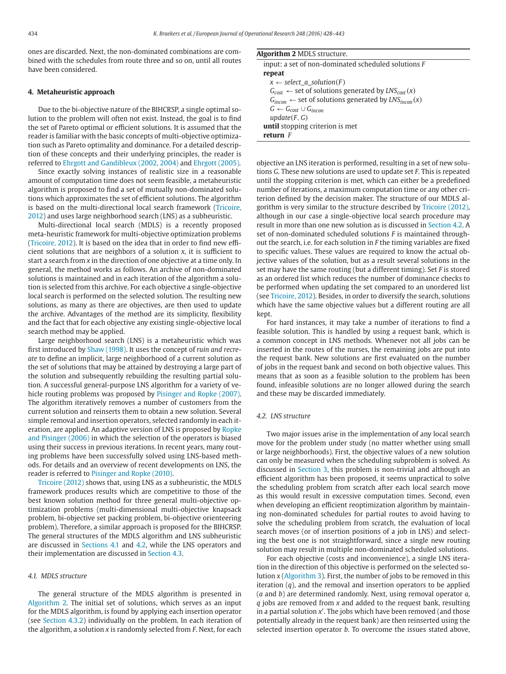<span id="page-7-0"></span>ones are discarded. Next, the non-dominated combinations are combined with the schedules from route three and so on, until all routes have been considered.

#### **4. Metaheuristic approach**

Due to the bi-objective nature of the BIHCRSP, a single optimal solution to the problem will often not exist. Instead, the goal is to find the set of Pareto optimal or efficient solutions. It is assumed that the reader is familiar with the basic concepts of multi-objective optimization such as Pareto optimality and dominance. For a detailed description of these concepts and their underlying principles, the reader is referred to [Ehrgott and Gandibleux \(2002, 2004\)](#page-16-0) and [Ehrgott \(2005\).](#page-16-0)

Since exactly solving instances of realistic size in a reasonable amount of computation time does not seem feasible, a metaheuristic algorithm is proposed to find a set of mutually non-dominated solutions which approximates the set of efficient solutions. The algorithm [is based on the multi-directional local search framework \(Tricoire,](#page-16-0) 2012) and uses large neighborhood search (LNS) as a subheuristic.

Multi-directional local search (MDLS) is a recently proposed meta-heuristic framework for multi-objective optimization problems [\(Tricoire, 2012\)](#page-16-0). It is based on the idea that in order to find new efficient solutions that are neighbors of a solution *x*, it is sufficient to start a search from *x* in the direction of one objective at a time only. In general, the method works as follows. An archive of non-dominated solutions is maintained and in each iteration of the algorithm a solution is selected from this archive. For each objective a single-objective local search is performed on the selected solution. The resulting new solutions, as many as there are objectives, are then used to update the archive. Advantages of the method are its simplicity, flexibility and the fact that for each objective any existing single-objective local search method may be applied.

Large neighborhood search (LNS) is a metaheuristic which was first introduced by [Shaw \(1998\).](#page-16-0) It uses the concept of *ruin and recreate* to define an implicit, large neighborhood of a current solution as the set of solutions that may be attained by destroying a large part of the solution and subsequently rebuilding the resulting partial solution. A successful general-purpose LNS algorithm for a variety of vehicle routing problems was proposed by [Pisinger and Ropke \(2007\).](#page-16-0) The algorithm iteratively removes a number of customers from the current solution and reinserts them to obtain a new solution. Several simple removal and insertion operators, selected randomly in each it[eration, are applied. An adaptive version of LNS is proposed by](#page-16-0) Ropke and Pisinger (2006) in which the selection of the operators is biased using their success in previous iterations. In recent years, many routing problems have been successfully solved using LNS-based methods. For details and an overview of recent developments on LNS, the reader is referred to [Pisinger and Ropke \(2010\).](#page-16-0)

[Tricoire \(2012\)](#page-16-0) shows that, using LNS as a subheuristic, the MDLS framework produces results which are competitive to those of the best known solution method for three general multi-objective optimization problems (multi-dimensional multi-objective knapsack problem, bi-objective set packing problem, bi-objective orienteering problem). Therefore, a similar approach is proposed for the BIHCRSP. The general structures of the MDLS algorithm and LNS subheuristic are discussed in Sections 4.1 and 4.2, while the LNS operators and their implementation are discussed in [Section 4.3.](#page-8-0)

# *4.1. MDLS structure*

The general structure of the MDLS algorithm is presented in Algorithm 2. The initial set of solutions, which serves as an input for the MDLS algorithm, is found by applying each insertion operator (see [Section 4.3.2\)](#page-8-0) individually on the problem. In each iteration of the algorithm, a solution *x* is randomly selected from *F*. Next, for each

| <b>Algorithm 2 MDLS structure.</b>                                                |
|-----------------------------------------------------------------------------------|
| input: a set of non-dominated scheduled solutions F                               |
| repeat                                                                            |
| $x \leftarrow select_a$ solution(F)                                               |
| $G_{\text{cost}} \leftarrow$ set of solutions generated by $LNS_{\text{cost}}(x)$ |
| $G_{incon} \leftarrow$ set of solutions generated by $LNS_{incon}(x)$             |
| $G \leftarrow G_{cost} \cup G_{incon}$                                            |
| update(F, G)                                                                      |
| until stopping criterion is met                                                   |
| return $F$                                                                        |

objective an LNS iteration is performed, resulting in a set of new solutions *G*. These new solutions are used to update set *F*. This is repeated until the stopping criterion is met, which can either be a predefined number of iterations, a maximum computation time or any other criterion defined by the decision maker. The structure of our MDLS algorithm is very similar to the structure described by [Tricoire \(2012\),](#page-16-0) although in our case a single-objective local search procedure may result in more than one new solution as is discussed in Section 4.2. A set of non-dominated scheduled solutions *F* is maintained throughout the search, i.e. for each solution in *F* the timing variables are fixed to specific values. These values are required to know the actual objective values of the solution, but as a result several solutions in the set may have the same routing (but a different timing). Set *F* is stored as an ordered list which reduces the number of dominance checks to be performed when updating the set compared to an unordered list (see [Tricoire, 2012\)](#page-16-0). Besides, in order to diversify the search, solutions which have the same objective values but a different routing are all kept.

For hard instances, it may take a number of iterations to find a feasible solution. This is handled by using a request bank, which is a common concept in LNS methods. Whenever not all jobs can be inserted in the routes of the nurses, the remaining jobs are put into the request bank. New solutions are first evaluated on the number of jobs in the request bank and second on both objective values. This means that as soon as a feasible solution to the problem has been found, infeasible solutions are no longer allowed during the search and these may be discarded immediately.

# *4.2. LNS structure*

Two major issues arise in the implementation of any local search move for the problem under study (no matter whether using small or large neighborhoods). First, the objective values of a new solution can only be measured when the scheduling subproblem is solved. As discussed in [Section 3,](#page-5-0) this problem is non-trivial and although an efficient algorithm has been proposed, it seems unpractical to solve the scheduling problem from scratch after each local search move as this would result in excessive computation times. Second, even when developing an efficient reoptimization algorithm by maintaining non-dominated schedules for partial routes to avoid having to solve the scheduling problem from scratch, the evaluation of local search moves (or of insertion positions of a job in LNS) and selecting the best one is not straightforward, since a single new routing solution may result in multiple non-dominated scheduled solutions.

For each objective (costs and inconvenience), a single LNS iteration in the direction of this objective is performed on the selected solution *x* [\(Algorithm 3\)](#page-8-0). First, the number of jobs to be removed in this iteration (*q*), and the removal and insertion operators to be applied (*a* and *b*) are determined randomly. Next, using removal operator *a*, *q* jobs are removed from *x* and added to the request bank, resulting in a partial solution x'. The jobs which have been removed (and those potentially already in the request bank) are then reinserted using the selected insertion operator *b*. To overcome the issues stated above,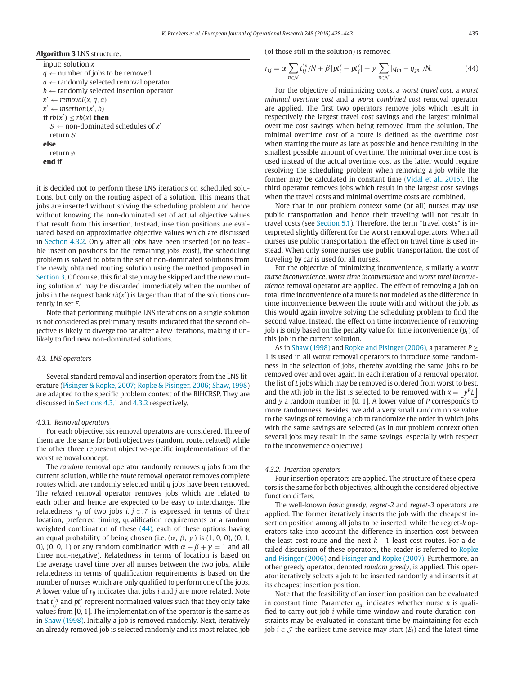#### <span id="page-8-0"></span>**Algorithm 3** LNS structure.

| input: solution $x$                                 |
|-----------------------------------------------------|
| $q \leftarrow$ number of jobs to be removed         |
|                                                     |
| $a \leftarrow$ randomly selected removal operator   |
| $b \leftarrow$ randomly selected insertion operator |
| $x' \leftarrow$ removal $(x, q, a)$                 |
| $x' \leftarrow insertion(x', b)$                    |
| if $rb(x') \le rb(x)$ then                          |
| $S \leftarrow$ non-dominated schedules of x'        |
| refurn $S$                                          |
| else                                                |
| return Ø                                            |
| end if                                              |

it is decided not to perform these LNS iterations on scheduled solutions, but only on the routing aspect of a solution. This means that jobs are inserted without solving the scheduling problem and hence without knowing the non-dominated set of actual objective values that result from this insertion. Instead, insertion positions are evaluated based on approximative objective values which are discussed in Section 4.3.2. Only after all jobs have been inserted (or no feasible insertion positions for the remaining jobs exist), the scheduling problem is solved to obtain the set of non-dominated solutions from the newly obtained routing solution using the method proposed in [Section 3.](#page-5-0) Of course, this final step may be skipped and the new routing solution *x* may be discarded immediately when the number of jobs in the request bank  $rb(x')$  is larger than that of the solutions currently in set *F*.

Note that performing multiple LNS iterations on a single solution is not considered as preliminary results indicated that the second objective is likely to diverge too far after a few iterations, making it unlikely to find new non-dominated solutions.

#### *4.3. LNS operators*

Several standard removal and insertion operators from the LNS literature [\(Pisinger & Ropke, 2007; Ropke & Pisinger, 2006; Shaw, 1998\)](#page-16-0) are adapted to the specific problem context of the BIHCRSP. They are discussed in Sections 4.3.1 and 4.3.2 respectively.

#### *4.3.1. Removal operators*

For each objective, six removal operators are considered. Three of them are the same for both objectives (random, route, related) while the other three represent objective-specific implementations of the worst removal concept.

The *random* removal operator randomly removes *q* jobs from the current solution, while the *route* removal operator removes complete routes which are randomly selected until *q* jobs have been removed. The *related* removal operator removes jobs which are related to each other and hence are expected to be easy to interchange. The relatedness  $r_{ij}$  of two jobs  $i, j \in \mathcal{J}$  is expressed in terms of their location, preferred timing, qualification requirements or a random weighted combination of these (44), each of these options having an equal probability of being chosen (i.e.  $(\alpha, \beta, \gamma)$  is (1, 0, 0), (0, 1, 0), (0, 0, 1) or any random combination with  $\alpha + \beta + \gamma = 1$  and all three non-negative). Relatedness in terms of location is based on the average travel time over all nurses between the two jobs, while relatedness in terms of qualification requirements is based on the number of nurses which are only qualified to perform one of the jobs. A lower value of *rij* indicates that jobs *i* and *j* are more related. Note that  $t_{ij}^{'n}$  and  $pt_i'$  represent normalized values such that they only take values from [0, 1]. The implementation of the operator is the same as in [Shaw \(1998\).](#page-16-0) Initially a job is removed randomly. Next, iteratively an already removed job is selected randomly and its most related job (of those still in the solution) is removed

$$
r_{ij} = \alpha \sum_{n \in \mathcal{N}} t_{ij}^{n} / N + \beta |pt'_{i} - pt'_{j}| + \gamma \sum_{n \in \mathcal{N}} |q_{in} - q_{jn}| / N.
$$
 (44)

For the objective of minimizing costs, a *worst travel cost*, a *worst minimal overtime cost* and a *worst combined cost* removal operator are applied. The first two operators remove jobs which result in respectively the largest travel cost savings and the largest minimal overtime cost savings when being removed from the solution. The minimal overtime cost of a route is defined as the overtime cost when starting the route as late as possible and hence resulting in the smallest possible amount of overtime. The minimal overtime cost is used instead of the actual overtime cost as the latter would require resolving the scheduling problem when removing a job while the former may be calculated in constant time [\(Vidal et al., 2015\)](#page-16-0). The third operator removes jobs which result in the largest cost savings when the travel costs and minimal overtime costs are combined.

Note that in our problem context some (or all) nurses may use public transportation and hence their traveling will not result in travel costs (see [Section 5.1\)](#page-9-0). Therefore, the term "travel costs" is interpreted slightly different for the worst removal operators. When all nurses use public transportation, the effect on travel time is used instead. When only some nurses use public transportation, the cost of traveling by car is used for all nurses.

For the objective of minimizing inconvenience, similarly a *worst nurse inconvenience*, *worst time inconvenience* and *worst total inconvenience* removal operator are applied. The effect of removing a job on total time inconvenience of a route is not modeled as the difference in time inconvenience between the route with and without the job, as this would again involve solving the scheduling problem to find the second value. Instead, the effect on time inconvenience of removing job *i* is only based on the penalty value for time inconvenience (*pi*) of this job in the current solution.

As in [Shaw \(1998\)](#page-16-0) and [Ropke and Pisinger \(2006\),](#page-16-0) a parameter *P* ≥ 1 is used in all worst removal operators to introduce some randomness in the selection of jobs, thereby avoiding the same jobs to be removed over and over again. In each iteration of a removal operator, the list of *L* jobs which may be removed is ordered from worst to best, and the *x*th job in the list is selected to be removed with  $x = y^p L$ and *y* a random number in [0, 1]. A lower value of *P* corresponds to more randomness. Besides, we add a very small random noise value to the savings of removing a job to randomize the order in which jobs with the same savings are selected (as in our problem context often several jobs may result in the same savings, especially with respect to the inconvenience objective).

#### *4.3.2. Insertion operators*

Four insertion operators are applied. The structure of these operators is the same for both objectives, although the considered objective function differs.

The well-known *basic greedy*, *regret-2* and *regret-3* operators are applied. The former iteratively inserts the job with the cheapest insertion position among all jobs to be inserted, while the regret-*k* operators take into account the difference in insertion cost between the least-cost route and the next  $k - 1$  least-cost routes. For a de[tailed discussion of these operators, the reader is referred to](#page-16-0) Ropke and Pisinger (2006) and [Pisinger and Ropke \(2007\).](#page-16-0) Furthermore, an other greedy operator, denoted *random greedy*, is applied. This operator iteratively selects a job to be inserted randomly and inserts it at its cheapest insertion position.

Note that the feasibility of an insertion position can be evaluated in constant time. Parameter *qin* indicates whether nurse *n* is qualified to carry out job *i* while time window and route duration constraints may be evaluated in constant time by maintaining for each job *i* ∈  $\mathcal I$  the earliest time service may start  $(E_i)$  and the latest time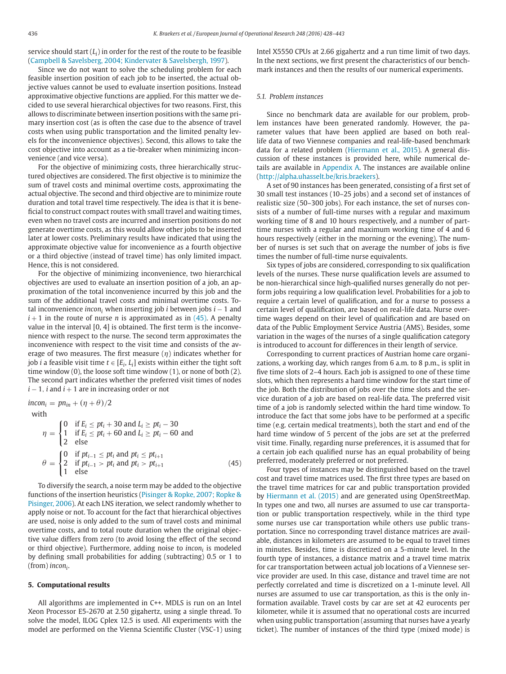<span id="page-9-0"></span>service should start (*Li*) in order for the rest of the route to be feasible [\(Campbell & Savelsberg, 2004; Kindervater & Savelsbergh, 1997\)](#page-16-0).

Since we do not want to solve the scheduling problem for each feasible insertion position of each job to be inserted, the actual objective values cannot be used to evaluate insertion positions. Instead approximative objective functions are applied. For this matter we decided to use several hierarchical objectives for two reasons. First, this allows to discriminate between insertion positions with the same primary insertion cost (as is often the case due to the absence of travel costs when using public transportation and the limited penalty levels for the inconvenience objectives). Second, this allows to take the cost objective into account as a tie-breaker when minimizing inconvenience (and vice versa).

For the objective of minimizing costs, three hierarchically structured objectives are considered. The first objective is to minimize the sum of travel costs and minimal overtime costs, approximating the actual objective. The second and third objective are to minimize route duration and total travel time respectively. The idea is that it is beneficial to construct compact routes with small travel and waiting times, even when no travel costs are incurred and insertion positions do not generate overtime costs, as this would allow other jobs to be inserted later at lower costs. Preliminary results have indicated that using the approximate objective value for inconvenience as a fourth objective or a third objective (instead of travel time) has only limited impact. Hence, this is not considered.

For the objective of minimizing inconvenience, two hierarchical objectives are used to evaluate an insertion position of a job, an approximation of the total inconvenience incurred by this job and the sum of the additional travel costs and minimal overtime costs. Total inconvenience *inconi* when inserting job *i* between jobs *i* − 1 and  $i+1$  in the route of nurse *n* is approximated as in (45). A penalty value in the interval [0, 4] is obtained. The first term is the inconvenience with respect to the nurse. The second term approximates the inconvenience with respect to the visit time and consists of the average of two measures. The first measure  $(\eta)$  indicates whether for job *i* a feasible visit time  $t \in [E_i, L_i]$  exists within either the tight soft time window (0), the loose soft time window (1), or none of both (2). The second part indicates whether the preferred visit times of nodes  $i - 1$ , *i* and  $i + 1$  are in increasing order or not

\n
$$
\text{incon}_i = p n_{in} + (\eta + \theta)/2
$$
\n

\n\n $\text{with} \\
\eta = \n \begin{cases}\n 0 & \text{if } E_i \leq p t_i + 30 \text{ and } L_i \geq p t_i - 30 \\
 1 & \text{if } E_i \leq p t_i + 60 \text{ and } L_i \geq p t_i - 60 \text{ and } 2\n \end{cases}$ \n

\n\n $\theta = \n \begin{cases}\n 0 & \text{if } p t_{i-1} \leq p t_i \text{ and } p t_i \leq p t_{i+1} \\
 2 & \text{if } p t_{i-1} > p t_i \text{ and } p t_i > p t_{i+1} \\
 1 & \text{else}\n \end{cases}$ \n

\n\n (45)\n

To diversify the search, a noise term may be added to the objective [functions of the insertion heuristics \(Pisinger & Ropke, 2007; Ropke &](#page-16-0) Pisinger, 2006). At each LNS iteration, we select randomly whether to apply noise or not. To account for the fact that hierarchical objectives are used, noise is only added to the sum of travel costs and minimal overtime costs, and to total route duration when the original objective value differs from zero (to avoid losing the effect of the second or third objective). Furthermore, adding noise to *inconi* is modeled by defining small probabilities for adding (subtracting) 0.5 or 1 to (from) *inconi*.

#### **5. Computational results**

All algorithms are implemented in C++. MDLS is run on an Intel Xeon Processor E5-2670 at 2.50 gigahertz, using a single thread. To solve the model, ILOG Cplex 12.5 is used. All experiments with the model are performed on the Vienna Scientific Cluster (VSC-1) using Intel X5550 CPUs at 2.66 gigahertz and a run time limit of two days. In the next sections, we first present the characteristics of our benchmark instances and then the results of our numerical experiments.

#### *5.1. Problem instances*

Since no benchmark data are available for our problem, problem instances have been generated randomly. However, the parameter values that have been applied are based on both reallife data of two Viennese companies and real-life-based benchmark data for a related problem [\(Hiermann et al., 2015\)](#page-16-0). A general discussion of these instances is provided here, while numerical details are available in [Appendix A.](#page-15-0) The instances are available online [\(http://alpha.uhasselt.be/kris.braekers\)](http://alpha.uhasselt.be/kris.braekers).

A set of 90 instances has been generated, consisting of a first set of 30 small test instances (10–25 jobs) and a second set of instances of realistic size (50–300 jobs). For each instance, the set of nurses consists of a number of full-time nurses with a regular and maximum working time of 8 and 10 hours respectively, and a number of parttime nurses with a regular and maximum working time of 4 and 6 hours respectively (either in the morning or the evening). The number of nurses is set such that on average the number of jobs is five times the number of full-time nurse equivalents.

Six types of jobs are considered, corresponding to six qualification levels of the nurses. These nurse qualification levels are assumed to be non-hierarchical since high-qualified nurses generally do not perform jobs requiring a low qualification level. Probabilities for a job to require a certain level of qualification, and for a nurse to possess a certain level of qualification, are based on real-life data. Nurse overtime wages depend on their level of qualification and are based on data of the Public Employment Service Austria (AMS). Besides, some variation in the wages of the nurses of a single qualification category is introduced to account for differences in their length of service.

Corresponding to current practices of Austrian home care organizations, a working day, which ranges from 6 a.m. to 8 p.m., is split in five time slots of 2–4 hours. Each job is assigned to one of these time slots, which then represents a hard time window for the start time of the job. Both the distribution of jobs over the time slots and the service duration of a job are based on real-life data. The preferred visit time of a job is randomly selected within the hard time window. To introduce the fact that some jobs have to be performed at a specific time (e.g. certain medical treatments), both the start and end of the hard time window of 5 percent of the jobs are set at the preferred visit time. Finally, regarding nurse preferences, it is assumed that for a certain job each qualified nurse has an equal probability of being preferred, moderately preferred or not preferred.

Four types of instances may be distinguished based on the travel cost and travel time matrices used. The first three types are based on the travel time matrices for car and public transportation provided by [Hiermann et al. \(2015\)](#page-16-0) and are generated using OpenStreetMap. In types one and two, all nurses are assumed to use car transportation or public transportation respectively, while in the third type some nurses use car transportation while others use public transportation. Since no corresponding travel distance matrices are available, distances in kilometers are assumed to be equal to travel times in minutes. Besides, time is discretized on a 5-minute level. In the fourth type of instances, a distance matrix and a travel time matrix for car transportation between actual job locations of a Viennese service provider are used. In this case, distance and travel time are not perfectly correlated and time is discretized on a 1-minute level. All nurses are assumed to use car transportation, as this is the only information available. Travel costs by car are set at 42 eurocents per kilometer, while it is assumed that no operational costs are incurred when using public transportation (assuming that nurses have a yearly ticket). The number of instances of the third type (mixed mode) is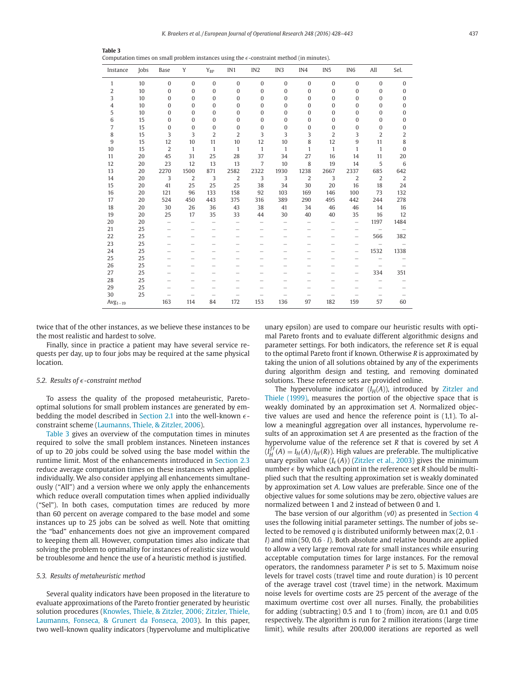| Instance                | Jobs | Base             | Y            | Y <sub>BP</sub> | IN1            | IN <sub>2</sub> | IN3          | IN4            | IN <sub>5</sub>          | IN <sub>6</sub>          | All               | Sel.         |
|-------------------------|------|------------------|--------------|-----------------|----------------|-----------------|--------------|----------------|--------------------------|--------------------------|-------------------|--------------|
| $\mathbf{1}$            | 10   | $\boldsymbol{0}$ | $\mathbf{0}$ | $\theta$        | $\mathbf{0}$   | $\mathbf{0}$    | $\bf{0}$     | $\mathbf{0}$   | $\mathbf{0}$             | $\mathbf{0}$             | $\Omega$          | $\Omega$     |
| $\overline{\mathbf{c}}$ | 10   | $\bf{0}$         | $\mathbf{0}$ | $\Omega$        | $\mathbf{0}$   | 0               | $\bf{0}$     | $\mathbf{0}$   | 0                        | $\Omega$                 | $\Omega$          | $\Omega$     |
| 3                       | 10   | $\mathbf{0}$     | $\mathbf{0}$ | $\mathbf{0}$    | $\mathbf{0}$   | 0               | $\mathbf{0}$ | $\mathbf{0}$   | 0                        | $\mathbf{0}$             | $\mathbf{0}$      | $\Omega$     |
| $\overline{4}$          | 10   | 0                | $\mathbf{0}$ | $\mathbf{0}$    | 0              | 0               | $\bf{0}$     | $\mathbf{0}$   | 0                        | $\mathbf{0}$             | $\mathbf{0}$      | $\mathbf{0}$ |
| 5                       | 10   | 0                | $\Omega$     | $\Omega$        | $\Omega$       | 0               | $\bf{0}$     | $\mathbf{0}$   | $\Omega$                 | $\Omega$                 | $\Omega$          | $\Omega$     |
| 6                       | 15   | $\boldsymbol{0}$ | $\mathbf{0}$ | $\Omega$        | $\Omega$       | 0               | $\bf{0}$     | $\mathbf{0}$   | 0                        | $\Omega$                 | $\Omega$          | $\Omega$     |
| $\overline{7}$          | 15   | $\boldsymbol{0}$ | $\mathbf{0}$ | $\mathbf{0}$    | $\mathbf{0}$   | 0               | 0            | $\bf{0}$       | 0                        | $\mathbf{0}$             | $\mathbf{0}$      | $\Omega$     |
| 8                       | 15   | 3                | 3            | $\overline{2}$  | $\overline{2}$ | 3               | 3            | 3              | 2                        | 3                        | $\overline{2}$    | 2            |
| 9                       | 15   | 12               | 10           | 11              | 10             | 12              | 10           | 8              | 12                       | 9                        | 11                | 8            |
| 10                      | 15   | $\overline{2}$   | $\mathbf{1}$ | $\mathbf{1}$    | $\mathbf{1}$   | $\mathbf{1}$    | $\mathbf{1}$ | $\mathbf{1}$   | $\mathbf{1}$             | 1                        | $\mathbf{1}$      | $\Omega$     |
| 11                      | 20   | 45               | 31           | 25              | 28             | 37              | 34           | 27             | 16                       | 14                       | 11                | 20           |
| 12                      | 20   | 23               | 12           | 13              | 13             | 7               | 10           | 8              | 19                       | 14                       | 5                 | 6            |
| 13                      | 20   | 2270             | 1500         | 871             | 2582           | 2322            | 1930         | 1238           | 2667                     | 2337                     | 685               | 642          |
| 14                      | 20   | 3                | 2            | 3               | $\overline{2}$ | 3               | 3            | $\overline{2}$ | 3                        | $\overline{2}$           | $\overline{2}$    | 2            |
| 15                      | 20   | 41               | 25           | 25              | 25             | 38              | 34           | 30             | 20                       | 16                       | 18                | 24           |
| 16                      | 20   | 121              | 96           | 133             | 158            | 92              | 103          | 169            | 146                      | 100                      | 73                | 132          |
| 17                      | 20   | 524              | 450          | 443             | 375            | 316             | 389          | 290            | 495                      | 442                      | 244               | 278          |
| 18                      | 20   | 30               | 26           | 36              | 43             | 38              | 41           | 34             | 46                       | 46                       | 14                | 16           |
| 19                      | 20   | 25               | 17           | 35              | 33             | 44              | 30           | 40             | 40                       | 35                       | 16                | 12           |
| 20                      | 20   |                  |              |                 | -              | —               | -            |                | $\overline{\phantom{0}}$ | $\overline{\phantom{m}}$ | 1197              | 1484         |
| 21                      | 25   |                  |              |                 |                |                 |              |                |                          | $\overline{\phantom{0}}$ | $\qquad \qquad -$ |              |
| 22                      | 25   |                  |              |                 |                |                 |              |                |                          | -                        | 566               | 382          |
| 23                      | 25   |                  |              |                 |                |                 |              |                |                          |                          | L,                |              |
| 24                      | 25   |                  |              |                 |                |                 |              |                |                          | $\overline{\phantom{0}}$ | 1532              | 1338         |
| 25                      | 25   |                  |              |                 |                |                 |              |                |                          |                          |                   |              |
| 26                      | 25   |                  |              |                 |                |                 |              |                |                          |                          |                   |              |
| 27                      | 25   |                  |              |                 |                |                 |              |                |                          | $\overline{\phantom{0}}$ | 334               | 351          |
| 28                      | 25   |                  |              |                 |                |                 |              |                |                          |                          |                   |              |
| 29                      | 25   |                  |              |                 |                |                 |              |                |                          |                          |                   |              |
| 30                      | 25   |                  |              |                 |                |                 |              |                |                          |                          |                   |              |
| $Avg_{1-19}$            |      | 163              | 114          | 84              | 172            | 153             | 136          | 97             | 182                      | 159                      | 57                | 60           |

<span id="page-10-0"></span>**Table 3** Computation times on small problem instances using the  $\epsilon$ -constraint method (in minutes).

twice that of the other instances, as we believe these instances to be the most realistic and hardest to solve.

Finally, since in practice a patient may have several service requests per day, up to four jobs may be required at the same physical location.

# 5.2. Results of  $\epsilon$ -constraint method

To assess the quality of the proposed metaheuristic, Paretooptimal solutions for small problem instances are generated by em-bedding the model described in [Section 2.1](#page-2-0) into the well-known  $\epsilon$ constraint scheme [\(Laumanns, Thiele, & Zitzler, 2006\)](#page-16-0).

Table 3 gives an overview of the computation times in minutes required to solve the small problem instances. Nineteen instances of up to 20 jobs could be solved using the base model within the runtime limit. Most of the enhancements introduced in [Section 2.3](#page-4-0) reduce average computation times on these instances when applied individually. We also consider applying all enhancements simultaneously ("All") and a version where we only apply the enhancements which reduce overall computation times when applied individually ("Sel"). In both cases, computation times are reduced by more than 60 percent on average compared to the base model and some instances up to 25 jobs can be solved as well. Note that omitting the "bad" enhancements does not give an improvement compared to keeping them all. However, computation times also indicate that solving the problem to optimality for instances of realistic size would be troublesome and hence the use of a heuristic method is justified.

#### *5.3. Results of metaheuristic method*

Several quality indicators have been proposed in the literature to evaluate approximations of the Pareto frontier generated by heuristic [solution procedures \(Knowles, Thiele, & Zitzler, 2006; Zitzler, Thiele,](#page-16-0) Laumanns, Fonseca, & Grunert da Fonseca, 2003). In this paper, two well-known quality indicators (hypervolume and multiplicative unary epsilon) are used to compare our heuristic results with optimal Pareto fronts and to evaluate different algorithmic designs and parameter settings. For both indicators, the reference set *R* is equal to the optimal Pareto front if known. Otherwise *R* is approximated by taking the union of all solutions obtained by any of the experiments during algorithm design and testing, and removing dominated solutions. These reference sets are provided online.

The hypervolume indicator  $(I_H(A))$ , introduced by Zitzler and [Thiele \(1999\), measures the portion of the objective space that is](#page-16-0) weakly dominated by an approximation set *A*. Normalized objective values are used and hence the reference point is (1,1). To allow a meaningful aggregation over all instances, hypervolume results of an approximation set *A* are presented as the fraction of the hypervolume value of the reference set *R* that is covered by set *A*  $(I_H^{fr}(A) = I_H(A)/I_H(R)$ . High values are preferable. The multiplicative unary epsilon value  $(I_{\epsilon}(A))$  [\(Zitzler et al., 2003\)](#page-16-0) gives the minimum number  $\epsilon$  by which each point in the reference set  $R$  should be multiplied such that the resulting approximation set is weakly dominated by approximation set *A*. Low values are preferable. Since one of the objective values for some solutions may be zero, objective values are normalized between 1 and 2 instead of between 0 and 1.

The base version of our algorithm (*v0*) as presented in [Section 4](#page-7-0) uses the following initial parameter settings. The number of jobs selected to be removed *q* is distributed uniformly between max (2, 0.1 · *I*) and min (50, 0.6 · *I*). Both absolute and relative bounds are applied to allow a very large removal rate for small instances while ensuring acceptable computation times for large instances. For the removal operators, the randomness parameter *P* is set to 5. Maximum noise levels for travel costs (travel time and route duration) is 10 percent of the average travel cost (travel time) in the network. Maximum noise levels for overtime costs are 25 percent of the average of the maximum overtime cost over all nurses. Finally, the probabilities for adding (subtracting) 0.5 and 1 to (from) *inconi* are 0.1 and 0.05 respectively. The algorithm is run for 2 million iterations (large time limit), while results after 200,000 iterations are reported as well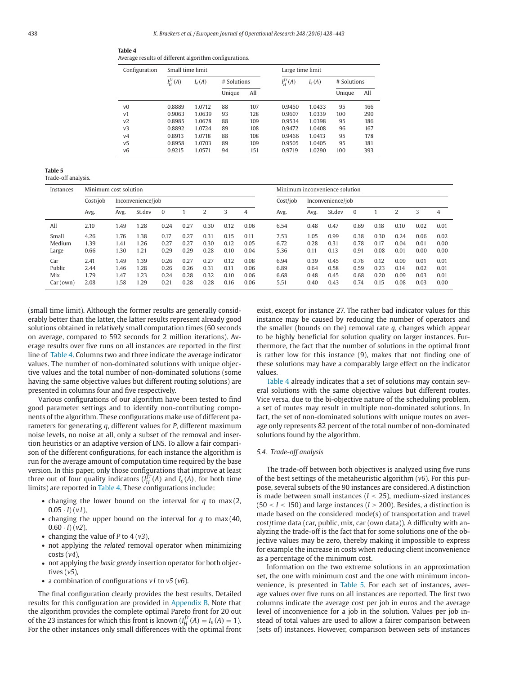<span id="page-11-0"></span>

| Table 4                                                |
|--------------------------------------------------------|
| Average results of different algorithm configurations. |

| Configuration  | Small time limit |                   |               |     |                 | Large time limit  |             |     |  |  |  |  |
|----------------|------------------|-------------------|---------------|-----|-----------------|-------------------|-------------|-----|--|--|--|--|
|                | $I_{H}^{fr}(A)$  | $I_{\epsilon}(A)$ | # Solutions   |     | $I_{H}^{fr}(A)$ | $I_{\epsilon}(A)$ | # Solutions |     |  |  |  |  |
|                |                  |                   | Unique<br>All |     |                 |                   | Unique      | All |  |  |  |  |
| v <sub>0</sub> | 0.8889           | 1.0712            | 88            | 107 | 0.9450          | 1.0433            | 95          | 166 |  |  |  |  |
| V <sub>1</sub> | 0.9063           | 1.0639            | 93            | 128 | 0.9607          | 1.0339            | 100         | 290 |  |  |  |  |
| v2             | 0.8985           | 1.0678            | 88            | 109 | 0.9534          | 1.0398            | 95          | 186 |  |  |  |  |
| v <sub>3</sub> | 0.8892           | 1.0724            | 89            | 108 | 0.9472          | 1.0408            | 96          | 167 |  |  |  |  |
| V <sub>4</sub> | 0.8913           | 1.0718            | 88            | 108 | 0.9466          | 1.0413            | 95          | 178 |  |  |  |  |
| v <sub>5</sub> | 0.8958           | 1.0703            | 89            | 109 | 0.9505          | 1.0405            | 95          | 181 |  |  |  |  |
| v6             | 0.9215           | 1.0571            | 94            | 151 | 0.9719          | 1.0290            | 100         | 393 |  |  |  |  |

**Table 5** Trade-off analysis.

| Instances                         | Minimum cost solution        |                              |                             |                              |                              |                              |                              |                              | Minimum inconvenience solution |                              |                              |                              |                              |                              |                              |                              |
|-----------------------------------|------------------------------|------------------------------|-----------------------------|------------------------------|------------------------------|------------------------------|------------------------------|------------------------------|--------------------------------|------------------------------|------------------------------|------------------------------|------------------------------|------------------------------|------------------------------|------------------------------|
|                                   | Cost/job                     |                              | Inconvenience/job           |                              |                              |                              |                              |                              | Cost/job                       |                              | Inconvenience/job            |                              |                              |                              |                              |                              |
|                                   | Avg.                         | Avg.                         | St.dev                      | $\mathbf{0}$                 |                              |                              | 3                            | 4                            | Avg.                           | Avg.                         | St.dev                       | $\Omega$                     |                              | $\overline{2}$               |                              | 4                            |
| All                               | 2.10                         | 1.49                         | .28                         | 0.24                         | 0.27                         | 0.30                         | 0.12                         | 0.06                         | 6.54                           | 0.48                         | 0.47                         | 0.69                         | 0.18                         | 0.10                         | 0.02                         | 0.01                         |
| Small<br>Medium<br>Large          | 4.26<br>1.39<br>0.66         | 1.76<br>1.41<br>1.30         | .38<br>l.26<br>l.21         | 0.17<br>0.27<br>0.29         | 0.27<br>0.27<br>0.29         | 0.31<br>0.30<br>0.28         | 0.15<br>0.12<br>0.10         | 0.11<br>0.05<br>0.04         | 7.53<br>6.72<br>5.36           | 1.05<br>0.28<br>0.11         | 0.99<br>0.31<br>0.13         | 0.38<br>0.78<br>0.91         | 0.30<br>0.17<br>0.08         | 0.24<br>0.04<br>0.01         | 0.06<br>0.01<br>0.00         | 0.02<br>0.00<br>0.00         |
| Car<br>Public<br>Mix<br>Car (own) | 2.41<br>2.44<br>1.79<br>2.08 | 1.49<br>1.46<br>1.47<br>1.58 | 1.39<br>1.28<br>1.23<br>.29 | 0.26<br>0.26<br>0.24<br>0.21 | 0.27<br>0.26<br>0.28<br>0.28 | 0.27<br>0.31<br>0.32<br>0.28 | 0.12<br>0.11<br>0.10<br>0.16 | 0.08<br>0.06<br>0.06<br>0.06 | 6.94<br>6.89<br>6.68<br>5.51   | 0.39<br>0.64<br>0.48<br>0.40 | 0.45<br>0.58<br>0.45<br>0.43 | 0.76<br>0.59<br>0.68<br>0.74 | 0.12<br>0.23<br>0.20<br>0.15 | 0.09<br>0.14<br>0.09<br>0.08 | 0.01<br>0.02<br>0.03<br>0.03 | 0.01<br>0.01<br>0.01<br>0.00 |

(small time limit). Although the former results are generally considerably better than the latter, the latter results represent already good solutions obtained in relatively small computation times (60 seconds on average, compared to 592 seconds for 2 million iterations). Average results over five runs on all instances are reported in the first line of Table 4. Columns two and three indicate the average indicator values. The number of non-dominated solutions with unique objective values and the total number of non-dominated solutions (some having the same objective values but different routing solutions) are presented in columns four and five respectively.

Various configurations of our algorithm have been tested to find good parameter settings and to identify non-contributing components of the algorithm. These configurations make use of different parameters for generating *q*, different values for *P*, different maximum noise levels, no noise at all, only a subset of the removal and insertion heuristics or an adaptive version of LNS. To allow a fair comparison of the different configurations, for each instance the algorithm is run for the average amount of computation time required by the base version. In this paper, only those configurations that improve at least three out of four quality indicators  $(I_H^{fr}(A)$  and  $I_{\epsilon}(A)$ , for both time limits) are reported in Table 4. These configurations include:

- changing the lower bound on the interval for *q* to max (2,  $(0.05 \cdot I)(v1)$ ,
- changing the upper bound on the interval for *q* to max (40,  $0.60 \cdot I$ ) (*v2*),
- changing the value of *P* to 4 (*v3*),
- not applying the *related* removal operator when minimizing costs (*v4*),
- not applying the *basic greedy* insertion operator for both objectives (*v5*),
- a combination of configurations *v1* to *v5* (*v6*).

The final configuration clearly provides the best results. Detailed results for this configuration are provided in [Appendix B.](#page-16-0) Note that the algorithm provides the complete optimal Pareto front for 20 out of the 23 instances for which this front is known  $(I_H^{fr}(A) = I_{\epsilon}(A) = 1)$ . For the other instances only small differences with the optimal front exist, except for instance 27. The rather bad indicator values for this instance may be caused by reducing the number of operators and the smaller (bounds on the) removal rate *q*, changes which appear to be highly beneficial for solution quality on larger instances. Furthermore, the fact that the number of solutions in the optimal front is rather low for this instance (9), makes that not finding one of these solutions may have a comparably large effect on the indicator values.

Table 4 already indicates that a set of solutions may contain several solutions with the same objective values but different routes. Vice versa, due to the bi-objective nature of the scheduling problem, a set of routes may result in multiple non-dominated solutions. In fact, the set of non-dominated solutions with unique routes on average only represents 82 percent of the total number of non-dominated solutions found by the algorithm.

# *5.4. Trade-off analysis*

The trade-off between both objectives is analyzed using five runs of the best settings of the metaheuristic algorithm (*v6*). For this purpose, several subsets of the 90 instances are considered. A distinction is made between small instances ( $I \leq 25$ ), medium-sized instances  $(50 \le I \le 150)$  and large instances ( $I \ge 200$ ). Besides, a distinction is made based on the considered mode(s) of transportation and travel cost/time data (car, public, mix, car (own data)). A difficulty with analyzing the trade-off is the fact that for some solutions one of the objective values may be zero, thereby making it impossible to express for example the increase in costs when reducing client inconvenience as a percentage of the minimum cost.

Information on the two extreme solutions in an approximation set, the one with minimum cost and the one with minimum inconvenience, is presented in Table 5. For each set of instances, average values over five runs on all instances are reported. The first two columns indicate the average cost per job in euros and the average level of inconvenience for a job in the solution. Values per job instead of total values are used to allow a fairer comparison between (sets of) instances. However, comparison between sets of instances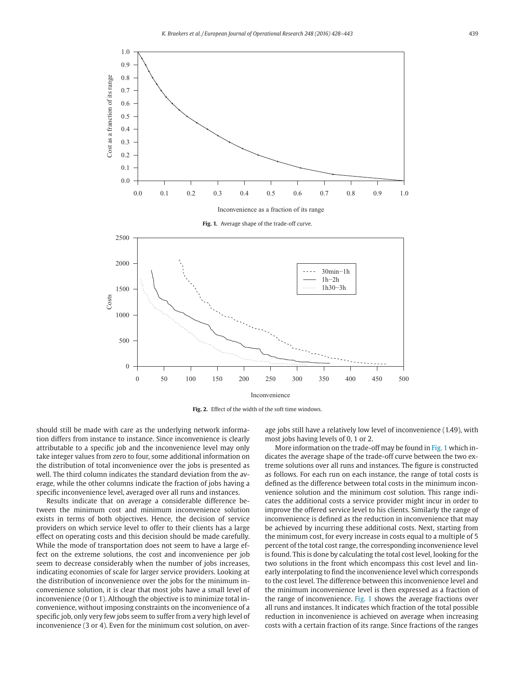<span id="page-12-0"></span>

**Fig. 2.** Effect of the width of the soft time windows.

should still be made with care as the underlying network information differs from instance to instance. Since inconvenience is clearly attributable to a specific job and the inconvenience level may only take integer values from zero to four, some additional information on the distribution of total inconvenience over the jobs is presented as well. The third column indicates the standard deviation from the average, while the other columns indicate the fraction of jobs having a specific inconvenience level, averaged over all runs and instances.

Results indicate that on average a considerable difference between the minimum cost and minimum inconvenience solution exists in terms of both objectives. Hence, the decision of service providers on which service level to offer to their clients has a large effect on operating costs and this decision should be made carefully. While the mode of transportation does not seem to have a large effect on the extreme solutions, the cost and inconvenience per job seem to decrease considerably when the number of jobs increases, indicating economies of scale for larger service providers. Looking at the distribution of inconvenience over the jobs for the minimum inconvenience solution, it is clear that most jobs have a small level of inconvenience (0 or 1). Although the objective is to minimize total inconvenience, without imposing constraints on the inconvenience of a specific job, only very few jobs seem to suffer from a very high level of inconvenience (3 or 4). Even for the minimum cost solution, on average jobs still have a relatively low level of inconvenience (1.49), with most jobs having levels of 0, 1 or 2.

More information on the trade-off may be found in Fig. 1 which indicates the average shape of the trade-off curve between the two extreme solutions over all runs and instances. The figure is constructed as follows. For each run on each instance, the range of total costs is defined as the difference between total costs in the minimum inconvenience solution and the minimum cost solution. This range indicates the additional costs a service provider might incur in order to improve the offered service level to his clients. Similarly the range of inconvenience is defined as the reduction in inconvenience that may be achieved by incurring these additional costs. Next, starting from the minimum cost, for every increase in costs equal to a multiple of 5 percent of the total cost range, the corresponding inconvenience level is found. This is done by calculating the total cost level, looking for the two solutions in the front which encompass this cost level and linearly interpolating to find the inconvenience level which corresponds to the cost level. The difference between this inconvenience level and the minimum inconvenience level is then expressed as a fraction of the range of inconvenience. Fig. 1 shows the average fractions over all runs and instances. It indicates which fraction of the total possible reduction in inconvenience is achieved on average when increasing costs with a certain fraction of its range. Since fractions of the ranges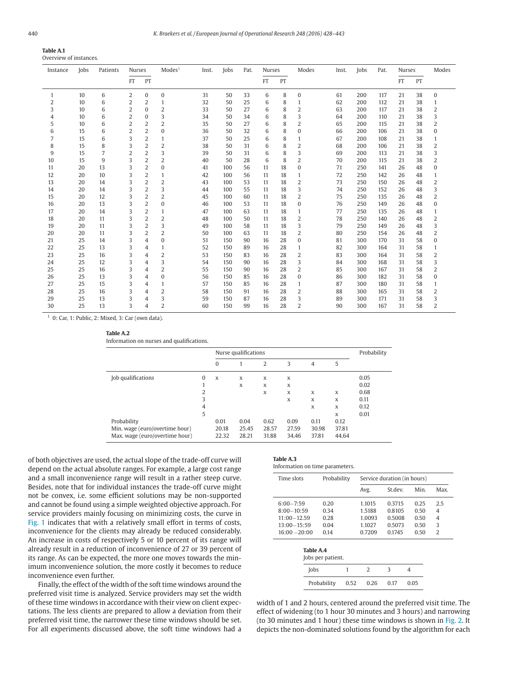<span id="page-13-0"></span>

| Table A.1 |                        |
|-----------|------------------------|
|           | Overview of instances. |

| Instance | Jobs | Patients | <b>Nurses</b>  |                | Modes <sup>1</sup> | Inst. | Jobs | Pat. | Nurses |    | Modes                   | Inst. | Jobs | Pat. | Nurses |    | Modes          |
|----------|------|----------|----------------|----------------|--------------------|-------|------|------|--------|----|-------------------------|-------|------|------|--------|----|----------------|
|          |      |          | FT             | PT             |                    |       |      |      | FT     | PT |                         |       |      |      | FT     | PT |                |
| 1        | 10   | 6        | 2              | $\mathbf{0}$   | $\mathbf{0}$       | 31    | 50   | 33   | 6      | 8  | $\mathbf{0}$            | 61    | 200  | 117  | 21     | 38 | $\mathbf{0}$   |
| 2        | 10   | 6        | 2              | 2              | 1                  | 32    | 50   | 25   | 6      | 8  | 1                       | 62    | 200  | 112  | 21     | 38 |                |
| 3        | 10   | 6        | 2              | 0              | 2                  | 33    | 50   | 27   | 6      | 8  | $\overline{2}$          | 63    | 200  | 117  | 21     | 38 | 2              |
| 4        | 10   | 6        | 2              | 0              | 3                  | 34    | 50   | 34   | 6      | 8  | 3                       | 64    | 200  | 110  | 21     | 38 | 3              |
| 5        | 10   | 6        | $\overline{2}$ | 2              | 2                  | 35    | 50   | 27   | 6      | 8  | $\overline{2}$          | 65    | 200  | 115  | 21     | 38 | 2              |
| 6        | 15   | 6        | 2              | 2              | 0                  | 36    | 50   | 32   | 6      | 8  | $\boldsymbol{0}$        | 66    | 200  | 106  | 21     | 38 | 0              |
| 7        | 15   | 6        | 3              | 2              | 1                  | 37    | 50   | 25   | 6      | 8  | 1                       | 67    | 200  | 108  | 21     | 38 | 1              |
| 8        | 15   | 8        | 3              | 2              | $\overline{2}$     | 38    | 50   | 31   | 6      | 8  | 2                       | 68    | 200  | 106  | 21     | 38 | 2              |
| 9        | 15   | 7        | 2              | 2              | 3                  | 39    | 50   | 31   | 6      | 8  | 3                       | 69    | 200  | 113  | 21     | 38 | 3              |
| 10       | 15   | 9        | 3              | 2              | 2                  | 40    | 50   | 28   | 6      | 8  | $\overline{2}$          | 70    | 200  | 115  | 21     | 38 | 2              |
| 11       | 20   | 13       | 3              | 2              | $\mathbf{0}$       | 41    | 100  | 56   | 11     | 18 | $\bf{0}$                | 71    | 250  | 141  | 26     | 48 | 0              |
| 12       | 20   | 10       | 3              | 2              | $\mathbf{1}$       | 42    | 100  | 56   | 11     | 18 | $\mathbf{1}$            | 72    | 250  | 142  | 26     | 48 |                |
| 13       | 20   | 14       | 3              | 2              | 2                  | 43    | 100  | 53   | 11     | 18 | $\overline{2}$          | 73    | 250  | 150  | 26     | 48 | 2              |
| 14       | 20   | 14       | 3              | $\overline{2}$ | 3                  | 44    | 100  | 55   | 11     | 18 | 3                       | 74    | 250  | 152  | 26     | 48 | 3              |
| 15       | 20   | 12       | 3              | 2              | 2                  | 45    | 100  | 60   | 11     | 18 | $\overline{2}$          | 75    | 250  | 135  | 26     | 48 | 2              |
| 16       | 20   | 13       | 3              | 2              | 0                  | 46    | 100  | 53   | 11     | 18 | $\boldsymbol{0}$        | 76    | 250  | 149  | 26     | 48 | 0              |
| 17       | 20   | 14       | 3              | 2              | 1                  | 47    | 100  | 63   | 11     | 18 | $\mathbf{1}$            | 77    | 250  | 135  | 26     | 48 | 1              |
| 18       | 20   | 11       | 3              | 2              | 2                  | 48    | 100  | 50   | 11     | 18 | $\overline{\mathbf{c}}$ | 78    | 250  | 140  | 26     | 48 | 2              |
| 19       | 20   | 11       | 3              | $\overline{2}$ | 3                  | 49    | 100  | 58   | 11     | 18 | 3                       | 79    | 250  | 149  | 26     | 48 | 3              |
| 20       | 20   | 11       | 3              | 2              | $\overline{2}$     | 50    | 100  | 63   | 11     | 18 | $\overline{2}$          | 80    | 250  | 154  | 26     | 48 | 2              |
| 21       | 25   | 14       | 3              | 4              | 0                  | 51    | 150  | 90   | 16     | 28 | $\boldsymbol{0}$        | 81    | 300  | 170  | 31     | 58 | 0              |
| 22       | 25   | 13       | 3              | 4              | 1                  | 52    | 150  | 89   | 16     | 28 | $\mathbf{1}$            | 82    | 300  | 164  | 31     | 58 |                |
| 23       | 25   | 16       | 3              | 4              | 2                  | 53    | 150  | 83   | 16     | 28 | $\sqrt{2}$              | 83    | 300  | 164  | 31     | 58 | 2              |
| 24       | 25   | 12       | 3              | 4              | 3                  | 54    | 150  | 90   | 16     | 28 | 3                       | 84    | 300  | 168  | 31     | 58 | 3              |
| 25       | 25   | 16       | 3              | 4              | 2                  | 55    | 150  | 90   | 16     | 28 | $\overline{2}$          | 85    | 300  | 167  | 31     | 58 | 2              |
| 26       | 25   | 13       | 3              | 4              | 0                  | 56    | 150  | 85   | 16     | 28 | $\mathbf{0}$            | 86    | 300  | 182  | 31     | 58 | $\bf{0}$       |
| 27       | 25   | 15       | 3              | 4              | 1                  | 57    | 150  | 85   | 16     | 28 | $\mathbf{1}$            | 87    | 300  | 180  | 31     | 58 | 1              |
| 28       | 25   | 16       | 3              | 4              | 2                  | 58    | 150  | 91   | 16     | 28 | $\overline{2}$          | 88    | 300  | 165  | 31     | 58 | 2              |
| 29       | 25   | 13       | 3              | 4              | 3                  | 59    | 150  | 87   | 16     | 28 | 3                       | 89    | 300  | 171  | 31     | 58 | 3              |
| 30       | 25   | 13       | 3              | 4              | $\overline{2}$     | 60    | 150  | 99   | 16     | 28 | $\overline{2}$          | 90    | 300  | 167  | 31     | 58 | $\overline{2}$ |

 $1$  0: Car, 1: Public, 2: Mixed, 3: Car (own data).

**Table A.2**

Information on nurses and qualifications.

|                                |          | Nurse qualifications |       |                |       |                |       | Probability |
|--------------------------------|----------|----------------------|-------|----------------|-------|----------------|-------|-------------|
|                                |          | $\Omega$             |       | $\overline{2}$ | 3     | $\overline{4}$ | 5     |             |
| Job qualifications             | $\Omega$ | X                    | X     | X              | X     |                |       | 0.05        |
|                                |          |                      | X     | X              | X     |                |       | 0.02        |
|                                | 2        |                      |       | X              | X     | X              | X     | 0.68        |
|                                | 3        |                      |       |                | X     | X              | X     | 0.11        |
|                                | 4        |                      |       |                |       | X              | X     | 0.12        |
|                                | 5        |                      |       |                |       |                | X     | 0.01        |
| Probability                    |          | 0.01                 | 0.04  | 0.62           | 0.09  | 0.11           | 0.12  |             |
| Min. wage (euro/overtime hour) |          | 20.18                | 25.45 | 28.57          | 27.59 | 30.98          | 37.81 |             |
| Max. wage (euro/overtime hour) |          | 22.32                | 28.21 | 31.88          | 34.46 | 37.81          | 44.64 |             |

of both objectives are used, the actual slope of the trade-off curve will depend on the actual absolute ranges. For example, a large cost range and a small inconvenience range will result in a rather steep curve. Besides, note that for individual instances the trade-off curve might not be convex, i.e. some efficient solutions may be non-supported and cannot be found using a simple weighted objective approach. For service providers mainly focusing on minimizing costs, the curve in [Fig. 1](#page-12-0) indicates that with a relatively small effort in terms of costs, inconvenience for the clients may already be reduced considerably. An increase in costs of respectively 5 or 10 percent of its range will already result in a reduction of inconvenience of 27 or 39 percent of its range. As can be expected, the more one moves towards the minimum inconvenience solution, the more costly it becomes to reduce inconvenience even further.

Finally, the effect of the width of the soft time windows around the preferred visit time is analyzed. Service providers may set the width of these time windows in accordance with their view on client expectations. The less clients are prepared to allow a deviation from their preferred visit time, the narrower these time windows should be set. For all experiments discussed above, the soft time windows had a

**Table A.3** Information on time parameters.

| Time slots      | Probability | Service duration (in hours) |         |      |               |  |  |  |
|-----------------|-------------|-----------------------------|---------|------|---------------|--|--|--|
|                 |             | Avg.                        | St.dev. | Min. | Max.          |  |  |  |
| $6:00 - 7:59$   | 0.20        | 1.1015                      | 0.3715  | 0.25 | 2.5           |  |  |  |
| $8:00 - 10:59$  | 0.34        | 1.5188                      | 0.8105  | 0.50 | 4             |  |  |  |
| $11.00 - 12.59$ | 0.28        | 1.0093                      | 0.5008  | 0.50 | 4             |  |  |  |
| $13:00 - 15:59$ | 0.04        | 1.1027                      | 0.5073  | 0.50 | 3             |  |  |  |
| $16:00 - 20:00$ | 014         | 0.7209                      | 0.1745  | 0.50 | $\mathcal{D}$ |  |  |  |
|                 |             |                             |         |      |               |  |  |  |

| Jobs per patient. |      |      |      |      |  |  |  |  |  |
|-------------------|------|------|------|------|--|--|--|--|--|
| Jobs              |      |      |      |      |  |  |  |  |  |
| Probability       | 0.52 | 0.26 | 0.17 | 0.05 |  |  |  |  |  |

width of 1 and 2 hours, centered around the preferred visit time. The effect of widening (to 1 hour 30 minutes and 3 hours) and narrowing (to 30 minutes and 1 hour) these time windows is shown in [Fig. 2.](#page-12-0) It depicts the non-dominated solutions found by the algorithm for each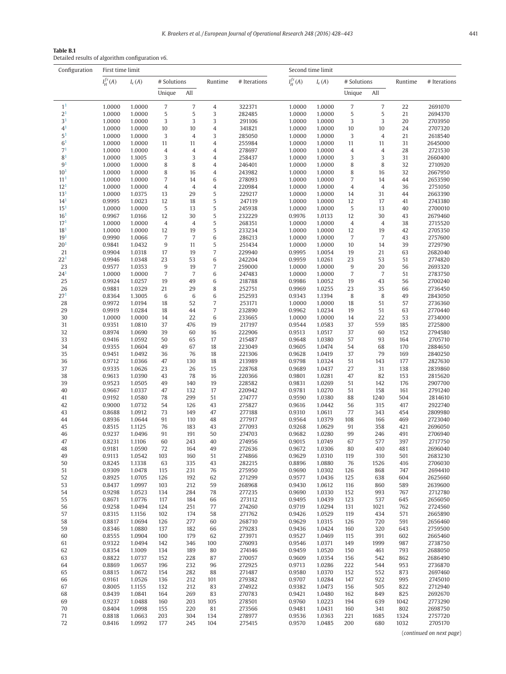<span id="page-14-0"></span>

| Table B.1                                       |  |
|-------------------------------------------------|--|
| Detailed results of algorithm configuration v6. |  |

| Configuration                      | First time limit                   |                  |                      |                |                          |                  | Second time limit |                   |                |                      |            |                    |
|------------------------------------|------------------------------------|------------------|----------------------|----------------|--------------------------|------------------|-------------------|-------------------|----------------|----------------------|------------|--------------------|
|                                    | $I_H^{fr}(A)$<br>$I_{\epsilon}(A)$ |                  | # Solutions          |                | # Iterations<br>Runtime  |                  | $I_H^{fr}(A)$     | $I_{\epsilon}(A)$ | # Solutions    |                      | Runtime    | # Iterations       |
|                                    |                                    |                  | Unique               | All            |                          |                  |                   |                   | Unique         | All                  |            |                    |
|                                    |                                    |                  |                      |                |                          |                  |                   |                   |                |                      |            |                    |
| 1 <sup>1</sup><br>2 <sup>1</sup>   | 1.0000                             | 1.0000           | $\overline{7}$       | $\sqrt{ }$     | $\overline{4}$           | 322371           | 1.0000            | 1.0000            | 7              | $\sqrt{ }$           | 22         | 2691070            |
| 3 <sup>1</sup>                     | 1.0000<br>1.0000                   | 1.0000<br>1.0000 | 5<br>3               | 5<br>3         | 3<br>3                   | 282485<br>291106 | 1.0000<br>1.0000  | 1.0000<br>1.0000  | 5<br>3         | 5<br>3               | 21<br>20   | 2694370<br>2703950 |
| 4 <sup>1</sup>                     | 1.0000                             | 1.0000           | 10                   | 10             | $\overline{4}$           | 341821           | 1.0000            | 1.0000            | 10             | 10                   | 24         | 2707320            |
| 5 <sup>1</sup>                     | 1.0000                             | 1.0000           | 3                    | 4              | 3                        | 285050           | 1.0000            | 1.0000            | 3              | $\overline{4}$       | 21         | 2618540            |
| 6 <sup>1</sup>                     | 1.0000                             | 1.0000           | 11                   | 11             | 4                        | 255984           | 1.0000            | 1.0000            | 11             | 11                   | 31         | 2645000            |
| 7 <sup>1</sup>                     | 1.0000                             | 1.0000           | 4                    | 4              | $\overline{4}$           | 278697           | 1.0000            | 1.0000            | 4              | $\overline{4}$       | 28         | 2721530            |
| 8 <sup>1</sup>                     | 1.0000                             | 1.1005           | 3                    | 3              | $\overline{4}$           | 258437           | 1.0000            | 1.0000            | 3              | 3                    | 31         | 2660400            |
| 9 <sup>1</sup>                     | 1.0000                             | 1.0000           | 8                    | 8              | $\overline{4}$           | 246401           | 1.0000            | 1.0000            | 8              | 8                    | 32         | 2710920            |
| 10 <sup>1</sup>                    | 1.0000                             | 1.0000           | 8                    | 16             | $\overline{4}$           | 243982           | 1.0000            | 1.0000            | 8              | 16                   | 32         | 2667950            |
| 11 <sup>1</sup>                    | 1.0000                             | 1.0000           | $\overline{7}$       | 14             | 6                        | 278093           | 1.0000            | 1.0000            | 7              | 14                   | 44         | 2653590            |
| 12 <sup>1</sup>                    | 1.0000                             | 1.0000           | $\overline{4}$       | 4              | $\overline{4}$           | 220984           | 1.0000            | 1.0000            | $\overline{4}$ | $\overline{4}$       | 36         | 2751050            |
| 13 <sup>1</sup>                    | 1.0000                             | 1.0375           | 13                   | 29             | 5                        | 229217           | 1.0000            | 1.0000            | 14             | 31                   | 44         | 2663390            |
| 14 <sup>1</sup>                    | 0.9995                             | 1.0023           | 12                   | 18             | 5                        | 247119           | 1.0000            | 1.0000            | 12             | 17                   | 41         | 2743380            |
| 15 <sup>1</sup>                    | 1.0000                             | 1.0000           | 5                    | 13             | 5                        | 245938           | 1.0000            | 1.0000            | 5              | 13                   | 40         | 2700010            |
| 16 <sup>1</sup><br>17 <sup>1</sup> | 0.9967                             | 1.0166           | 12                   | 30             | 5<br>5                   | 232229           | 0.9976            | 1.0133            | 12             | 30                   | 43         | 2679460            |
| 18 <sup>1</sup>                    | 1.0000<br>1.0000                   | 1.0000<br>1.0000 | $\overline{4}$<br>12 | 4<br>19        | 5                        | 268351<br>233234 | 1.0000<br>1.0000  | 1.0000<br>1.0000  | 4<br>12        | $\overline{4}$<br>19 | 38<br>42   | 2715520<br>2705350 |
| 19 <sup>1</sup>                    | 0.9990                             | 1.0066           | $\overline{7}$       | $\overline{7}$ | 6                        | 286213           | 1.0000            | 1.0000            | $\overline{7}$ | $\overline{7}$       | 43         | 2757600            |
| 20 <sup>1</sup>                    | 0.9841                             | 1.0432           | 9                    | 11             | 5                        | 251434           | 1.0000            | 1.0000            | 10             | 14                   | 39         | 2729790            |
| 21                                 | 0.9904                             | 1.0318           | 17                   | 19             | $\overline{\phantom{a}}$ | 229940           | 0.9995            | 1.0054            | 19             | 21                   | 63         | 2682040            |
| 22 <sup>1</sup>                    | 0.9946                             | 1.0348           | 23                   | 53             | 6                        | 242204           | 0.9959            | 1.0261            | 23             | 53                   | 51         | 2774820            |
| 23                                 | 0.9577                             | 1.0353           | 9                    | 19             | $\overline{7}$           | 259000           | 1.0000            | 1.0000            | 9              | 20                   | 56         | 2693320            |
| 24 <sup>1</sup>                    | 1.0000                             | 1.0000           | $\overline{7}$       | $\overline{7}$ | 6                        | 247483           | 1.0000            | 1.0000            | $\overline{7}$ | $\overline{7}$       | 51         | 2783750            |
| 25                                 | 0.9924                             | 1.0257           | 19                   | 49             | 6                        | 218788           | 0.9986            | 1.0052            | 19             | 43                   | 56         | 2700240            |
| 26                                 | 0.9881                             | 1.0329           | 21                   | 29             | 8                        | 252751           | 0.9969            | 1.0255            | 23             | 35                   | 66         | 2736450            |
| 27 <sup>1</sup>                    | 0.8364                             | 1.3005           | 6                    | 6              | 6                        | 252593           | 0.9343            | 1.1394            | 8              | 8                    | 49         | 2843050            |
| 28                                 | 0.9972                             | 1.0194           | 18                   | 52             | $\overline{7}$           | 253171           | 1.0000            | 1.0000            | 18             | 51                   | 57         | 2736360            |
| 29                                 | 0.9919                             | 1.0284           | 18                   | 44             | $\overline{7}$           | 232890           | 0.9962            | 1.0234            | 19             | 51                   | 63         | 2770440            |
| 30                                 | 1.0000                             | 1.0000           | 14                   | 22             | 6                        | 233665           | 1.0000            | 1.0000            | 14             | 22                   | 53         | 2734000            |
| 31<br>32                           | 0.9351<br>0.8974                   | 1.0810           | 37<br>39             | 476<br>60      | 19                       | 217197<br>222906 | 0.9544            | 1.0583            | 37<br>37       | 559                  | 185<br>152 | 2725800            |
| 33                                 | 0.9416                             | 1.0690<br>1.0592 | 50                   | 65             | 16<br>17                 | 215487           | 0.9513<br>0.9648  | 1.0517<br>1.0380  | 57             | 60<br>93             | 164        | 2794580<br>2705710 |
| 34                                 | 0.9355                             | 1.0604           | 49                   | 67             | 18                       | 223049           | 0.9605            | 1.0474            | 54             | 68                   | 170        | 2884650            |
| 35                                 | 0.9451                             | 1.0492           | 36                   | 76             | 18                       | 221306           | 0.9628            | 1.0419            | 37             | 79                   | 169        | 2840250            |
| 36                                 | 0.9712                             | 1.0366           | 47                   | 130            | 18                       | 213989           | 0.9798            | 1.0324            | 51             | 143                  | 177        | 2827630            |
| 37                                 | 0.9335                             | 1.0626           | 23                   | 26             | 15                       | 228768           | 0.9689            | 1.0437            | 27             | 31                   | 138        | 2839860            |
| 38                                 | 0.9613                             | 1.0390           | 43                   | 78             | 16                       | 220366           | 0.9801            | 1.0281            | 47             | 82                   | 153        | 2815620            |
| 39                                 | 0.9523                             | 1.0505           | 49                   | 140            | 19                       | 228582           | 0.9831            | 1.0269            | 51             | 142                  | 176        | 2907700            |
| 40                                 | 0.9667                             | 1.0337           | 47                   | 132            | 17                       | 220942           | 0.9781            | 1.0270            | 51             | 158                  | 161        | 2791240            |
| 41                                 | 0.9192                             | 1.0580           | 78                   | 299            | 51                       | 274777           | 0.9590            | 1.0380            | 88             | 1240                 | 504        | 2814610            |
| 42                                 | 0.9000                             | 1.0732           | 54                   | 126            | 43                       | 275827           | 0.9616            | 1.0442            | 56             | 315                  | 417        | 2922740            |
| 43                                 | 0.8688                             | 1.0912           | 73                   | 149            | 47                       | 277188           | 0.9310            | 1.0611            | 77             | 343                  | 454        | 2809980            |
| 44                                 | 0.8936                             | 1.0644           | 91                   | 110<br>183     | 48                       | 277917           | 0.9564            | 1.0379            | 108            | 166                  | 469        | 2723040            |
| 45<br>46                           | 0.8515<br>0.9237                   | 1.1125<br>1.0496 | 76<br>91             | 191            | 43<br>50                 | 277093<br>274703 | 0.9268<br>0.9682  | 1.0629<br>1.0280  | 91<br>99       | 358<br>246           | 421<br>491 | 2696050<br>2706940 |
| 47                                 | 0.8231                             | 1.1106           | 60                   | 243            | 40                       | 274956           | 0.9015            | 1.0749            | 67             | 577                  | 397        | 2717750            |
| 48                                 | 0.9181                             | 1.0590           | 72                   | 164            | 49                       | 272636           | 0.9672            | 1.0306            | 80             | 410                  | 481        | 2696040            |
| 49                                 | 0.9113                             | 1.0542           | 103                  | 160            | 51                       | 274866           | 0.9629            | 1.0310            | 119            | 310                  | 501        | 2683230            |
| 50                                 | 0.8245                             | 1.1338           | 63                   | 335            | 43                       | 282215           | 0.8896            | 1.0880            | 76             | 1526                 | 416        | 2706030            |
| 51                                 | 0.9309                             | 1.0478           | 115                  | 231            | 76                       | 275950           | 0.9690            | 1.0302            | 126            | 868                  | 747        | 2694410            |
| 52                                 | 0.8925                             | 1.0705           | 126                  | 192            | 62                       | 271299           | 0.9577            | 1.0436            | 125            | 638                  | 604        | 2625660            |
| 53                                 | 0.8437                             | 1.0997           | 103                  | 212            | 59                       | 268968           | 0.9430            | 1.0612            | 116            | 860                  | 589        | 2639600            |
| 54                                 | 0.9298                             | 1.0523           | 134                  | 284            | 78                       | 277235           | 0.9690            | 1.0330            | 152            | 993                  | 767        | 2712780            |
| 55                                 | 0.8671                             | 1.0776           | 117                  | 184            | 66                       | 273112           | 0.9495            | 1.0439            | 123            | 537                  | 645        | 2656050            |
| 56                                 | 0.9258                             | 1.0494           | 124                  | 251            | 77                       | 274260           | 0.9719            | 1.0294            | 131            | 1021                 | 762        | 2724560            |
| 57                                 | 0.8315                             | 1.1156           | 102                  | 174            | 58                       | 271762           | 0.9426            | 1.0529            | 119            | 434                  | 571        | 2665890<br>2656460 |
| 58<br>59                           | 0.8817<br>0.8346                   | 1.0694<br>1.0880 | 126<br>137           | 277<br>182     | 60<br>66                 | 268710<br>279283 | 0.9629<br>0.9436  | 1.0315<br>1.0424  | 126<br>160     | 720<br>320           | 591<br>643 | 2759500            |
| 60                                 | 0.8555                             | 1.0904           | 100                  | 179            | 62                       | 273971           | 0.9527            | 1.0469            | 115            | 391                  | 602        | 2665460            |
| 61                                 | 0.9322                             | 1.0494           | 142                  | 346            | 100                      | 276093           | 0.9546            | 1.0371            | 149            | 1999                 | 987        | 2738750            |
| 62                                 | 0.8354                             | 1.1009           | 134                  | 189            | 80                       | 274146           | 0.9459            | 1.0520            | 150            | 461                  | 793        | 2688050            |
| 63                                 | 0.8822                             | 1.0737           | 152                  | 228            | 87                       | 270057           | 0.9609            | 1.0354            | 156            | 542                  | 862        | 2686490            |
| 64                                 | 0.8869                             | 1.0657           | 196                  | 232            | 96                       | 272925           | 0.9713            | 1.0286            | 222            | 544                  | 953        | 2736870            |
| 65                                 | 0.8815                             | 1.0672           | 154                  | 282            | 88                       | 271487           | 0.9580            | 1.0370            | 152            | 552                  | 873        | 2697460            |
| 66                                 | 0.9161                             | 1.0526           | 136                  | 212            | 101                      | 279382           | 0.9707            | 1.0284            | 147            | 922                  | 995        | 2745010            |
| 67                                 | 0.8005                             | 1.1155           | 132                  | 212            | 83                       | 274922           | 0.9382            | 1.0473            | 156            | 505                  | 822        | 2712940            |
| 68                                 | 0.8439                             | 1.0841           | 164                  | 269            | 83                       | 270783           | 0.9421            | 1.0480            | 162            | 849                  | 825        | 2692670            |
| 69                                 | 0.9237                             | 1.0488           | 160                  | 203            | 105                      | 278501           | 0.9760            | 1.0223            | 194            | 639                  | 1042       | 2773290            |
| 70                                 | 0.8404                             | 1.0998           | 155                  | 220            | 81                       | 273566           | 0.9481            | 1.0431            | 160            | 341                  | 802        | 2698750            |
| 71                                 | 0.8818                             | 1.0663           | 203                  | 304            | 134                      | 278977           | 0.9536            | 1.0363            | 221            | 1685                 | 1324       | 2757720            |
| 72                                 | 0.8416                             | 1.0992           | 177                  | 245            | 104                      | 275415           | 0.9570            | 1.0485            | 200            | 680                  | 1032       | 2705170            |

(*continued on next page*)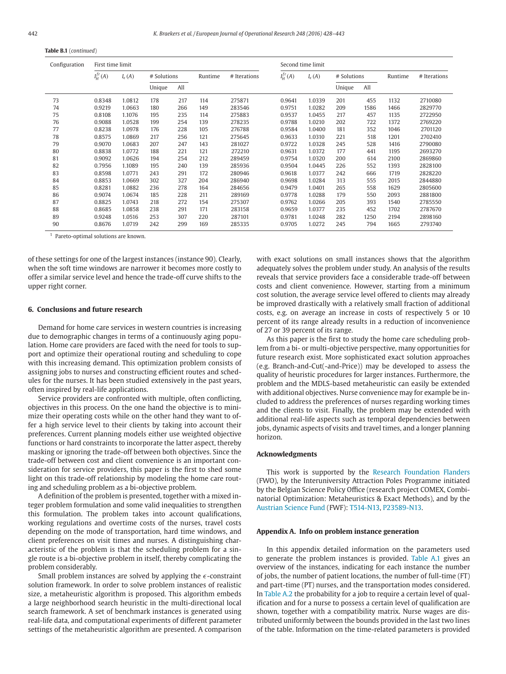<span id="page-15-0"></span>**Table B.1** (*continued*)

| Configuration | First time limit |                   |             |     |         |              | Second time limit |                   |             |      |         |              |
|---------------|------------------|-------------------|-------------|-----|---------|--------------|-------------------|-------------------|-------------|------|---------|--------------|
|               | $I_H^{fr}(A)$    | $I_{\epsilon}(A)$ | # Solutions |     | Runtime | # Iterations | $I_H^{fr}(A)$     | $I_{\epsilon}(A)$ | # Solutions |      | Runtime | # Iterations |
|               |                  |                   | Unique      | All |         |              |                   |                   | Unique      | All  |         |              |
| 73            | 0.8348           | 1.0812            | 178         | 217 | 114     | 275871       | 0.9641            | 1.0339            | 201         | 455  | 1132    | 2710080      |
| 74            | 0.9219           | 1.0663            | 180         | 266 | 149     | 283546       | 0.9751            | 1.0282            | 209         | 1586 | 1466    | 2829770      |
| 75            | 0.8108           | 1.1076            | 195         | 235 | 114     | 275883       | 0.9537            | 1.0455            | 217         | 457  | 1135    | 2722950      |
| 76            | 0.9088           | 1.0528            | 199         | 254 | 139     | 278235       | 0.9788            | 1.0210            | 202         | 722  | 1372    | 2769220      |
| 77            | 0.8238           | 1.0978            | 176         | 228 | 105     | 276788       | 0.9584            | 1.0400            | 181         | 352  | 1046    | 2701120      |
| 78            | 0.8575           | 1.0869            | 217         | 256 | 121     | 275645       | 0.9633            | 1.0310            | 221         | 518  | 1201    | 2702410      |
| 79            | 0.9070           | 1.0683            | 207         | 247 | 143     | 281027       | 0.9722            | 1.0328            | 245         | 528  | 1416    | 2790080      |
| 80            | 0.8838           | 1.0772            | 188         | 221 | 121     | 272210       | 0.9631            | 1.0372            | 177         | 441  | 1195    | 2693270      |
| 81            | 0.9092           | 1.0626            | 194         | 254 | 212     | 289459       | 0.9754            | 1.0320            | 200         | 614  | 2100    | 2869860      |
| 82            | 0.7956           | 1.1089            | 195         | 240 | 139     | 285936       | 0.9504            | 1.0445            | 226         | 552  | 1393    | 2828100      |
| 83            | 0.8598           | 1.0771            | 243         | 291 | 172     | 280946       | 0.9618            | 1.0377            | 242         | 666  | 1719    | 2828220      |
| 84            | 0.8853           | 1.0669            | 302         | 327 | 204     | 286940       | 0.9698            | 1.0284            | 313         | 555  | 2015    | 2844880      |
| 85            | 0.8281           | 1.0882            | 236         | 278 | 164     | 284656       | 0.9479            | 1.0401            | 265         | 558  | 1629    | 2805600      |
| 86            | 0.9074           | 1.0674            | 185         | 228 | 211     | 289169       | 0.9778            | 1.0288            | 179         | 550  | 2093    | 2881800      |
| 87            | 0.8825           | 1.0743            | 218         | 272 | 154     | 275307       | 0.9762            | 1.0266            | 205         | 393  | 1540    | 2785550      |
| 88            | 0.8685           | 1.0858            | 238         | 291 | 171     | 283158       | 0.9659            | 1.0377            | 235         | 452  | 1702    | 2787670      |
| 89            | 0.9248           | 1.0516            | 253         | 307 | 220     | 287101       | 0.9781            | 1.0248            | 282         | 1250 | 2194    | 2898160      |
| 90            | 0.8676           | 1.0719            | 242         | 299 | 169     | 285335       | 0.9705            | 1.0272            | 245         | 794  | 1665    | 2793740      |

<sup>1</sup> Pareto-optimal solutions are known.

of these settings for one of the largest instances (instance 90). Clearly, when the soft time windows are narrower it becomes more costly to offer a similar service level and hence the trade-off curve shifts to the upper right corner.

# **6. Conclusions and future research**

Demand for home care services in western countries is increasing due to demographic changes in terms of a continuously aging population. Home care providers are faced with the need for tools to support and optimize their operational routing and scheduling to cope with this increasing demand. This optimization problem consists of assigning jobs to nurses and constructing efficient routes and schedules for the nurses. It has been studied extensively in the past years, often inspired by real-life applications.

Service providers are confronted with multiple, often conflicting, objectives in this process. On the one hand the objective is to minimize their operating costs while on the other hand they want to offer a high service level to their clients by taking into account their preferences. Current planning models either use weighted objective functions or hard constraints to incorporate the latter aspect, thereby masking or ignoring the trade-off between both objectives. Since the trade-off between cost and client convenience is an important consideration for service providers, this paper is the first to shed some light on this trade-off relationship by modeling the home care routing and scheduling problem as a bi-objective problem.

A definition of the problem is presented, together with a mixed integer problem formulation and some valid inequalities to strengthen this formulation. The problem takes into account qualifications, working regulations and overtime costs of the nurses, travel costs depending on the mode of transportation, hard time windows, and client preferences on visit times and nurses. A distinguishing characteristic of the problem is that the scheduling problem for a single route is a bi-objective problem in itself, thereby complicating the problem considerably.

Small problem instances are solved by applying the  $\epsilon$ -constraint solution framework. In order to solve problem instances of realistic size, a metaheuristic algorithm is proposed. This algorithm embeds a large neighborhood search heuristic in the multi-directional local search framework. A set of benchmark instances is generated using real-life data, and computational experiments of different parameter settings of the metaheuristic algorithm are presented. A comparison with exact solutions on small instances shows that the algorithm adequately solves the problem under study. An analysis of the results reveals that service providers face a considerable trade-off between costs and client convenience. However, starting from a minimum cost solution, the average service level offered to clients may already be improved drastically with a relatively small fraction of additional costs, e.g. on average an increase in costs of respectively 5 or 10 percent of its range already results in a reduction of inconvenience of 27 or 39 percent of its range.

As this paper is the first to study the home care scheduling problem from a bi- or multi-objective perspective, many opportunities for future research exist. More sophisticated exact solution approaches (e.g. Branch-and-Cut(-and-Price)) may be developed to assess the quality of heuristic procedures for larger instances. Furthermore, the problem and the MDLS-based metaheuristic can easily be extended with additional objectives. Nurse convenience may for example be included to address the preferences of nurses regarding working times and the clients to visit. Finally, the problem may be extended with additional real-life aspects such as temporal dependencies between jobs, dynamic aspects of visits and travel times, and a longer planning horizon.

# **Acknowledgments**

This work is supported by the [Research Foundation Flanders](http://dx.doi.org/10.13039/501100003130) (FWO), by the Interuniversity Attraction Poles Programme initiated by the Belgian Science Policy Office (research project COMEX, Combinatorial Optimization: Metaheuristics & Exact Methods), and by the [Austrian Science Fund](http://dx.doi.org/10.13039/501100002428) (FWF): T514-N13, P23589-N13.

#### **Appendix A. Info on problem instance generation**

In this appendix detailed information on the parameters used to generate the problem instances is provided. [Table A.1](#page-13-0) gives an overview of the instances, indicating for each instance the number of jobs, the number of patient locations, the number of full-time (FT) and part-time (PT) nurses, and the transportation modes considered. In [Table A.2](#page-13-0) the probability for a job to require a certain level of qualification and for a nurse to possess a certain level of qualification are shown, together with a compatibility matrix. Nurse wages are distributed uniformly between the bounds provided in the last two lines of the table. Information on the time-related parameters is provided